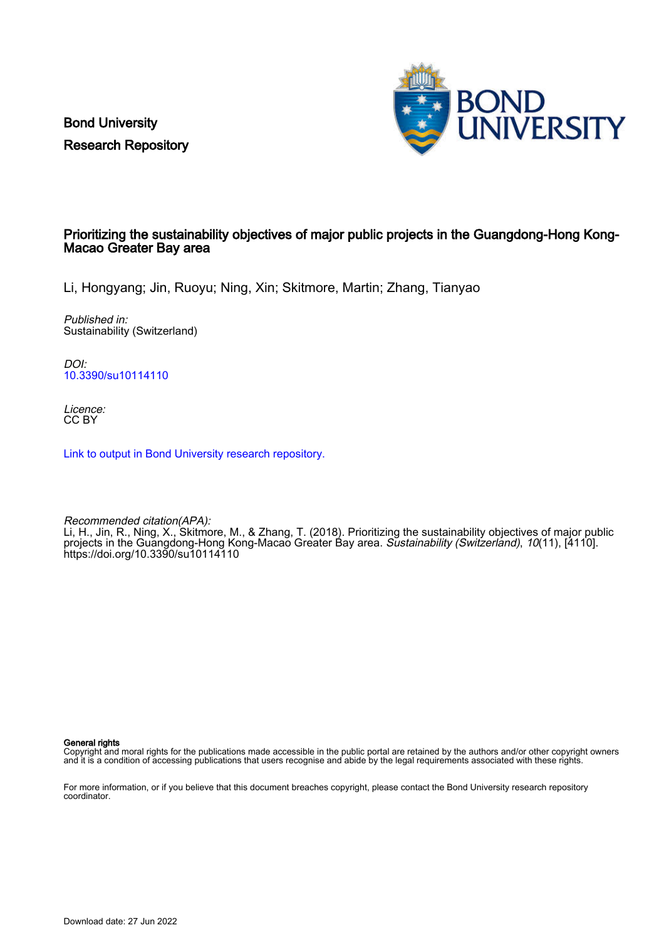Bond University Research Repository



# Prioritizing the sustainability objectives of major public projects in the Guangdong-Hong Kong-Macao Greater Bay area

Li, Hongyang; Jin, Ruoyu; Ning, Xin; Skitmore, Martin; Zhang, Tianyao

Published in: Sustainability (Switzerland)

DOI: [10.3390/su10114110](https://doi.org/10.3390/su10114110)

Licence: CC BY

[Link to output in Bond University research repository.](https://research.bond.edu.au/en/publications/9a2dd181-5fe2-43b6-9f2c-6375ffa134c8)

Recommended citation(APA): Li, H., Jin, R., Ning, X., Skitmore, M., & Zhang, T. (2018). Prioritizing the sustainability objectives of major public projects in the Guangdong-Hong Kong-Macao Greater Bay area. Sustainability (Switzerland), 10(11), [4110]. <https://doi.org/10.3390/su10114110>

General rights

Copyright and moral rights for the publications made accessible in the public portal are retained by the authors and/or other copyright owners and it is a condition of accessing publications that users recognise and abide by the legal requirements associated with these rights.

For more information, or if you believe that this document breaches copyright, please contact the Bond University research repository coordinator.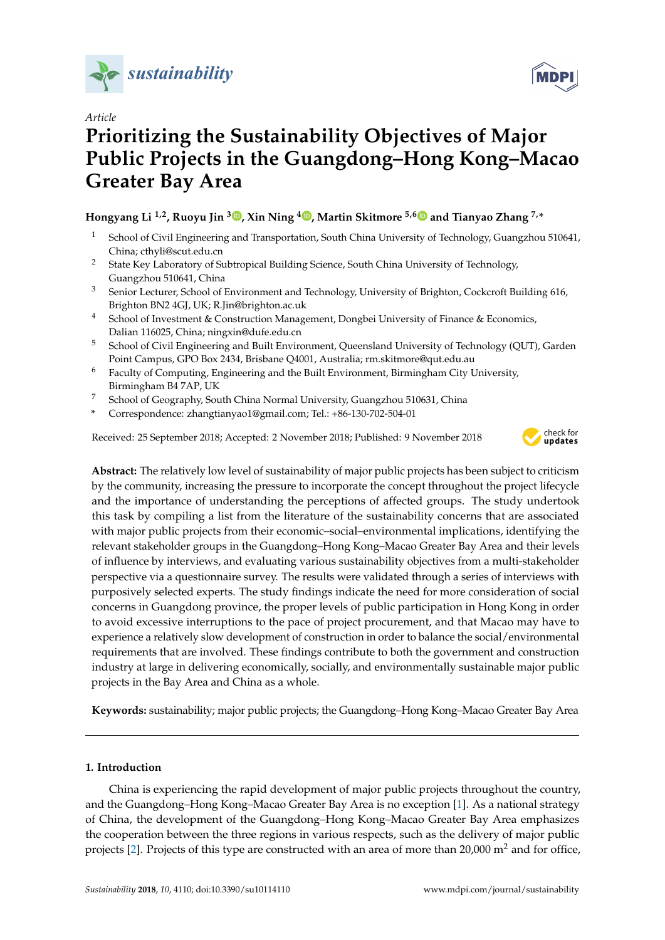



# **Prioritizing the Sustainability Objectives of Major Public Projects in the Guangdong–Hong Kong–Macao Greater Bay Area**

# **Hongyang Li 1,2, Ruoyu Jin <sup>3</sup> [,](https://orcid.org/0000-0003-0360-6967) Xin Ning <sup>4</sup> [,](https://orcid.org/0000-0002-6547-9812) Martin Skitmore 5,[6](https://orcid.org/0000-0001-7135-1201) and Tianyao Zhang 7,\***

- <sup>1</sup> School of Civil Engineering and Transportation, South China University of Technology, Guangzhou 510641, China; cthyli@scut.edu.cn
- <sup>2</sup> State Key Laboratory of Subtropical Building Science, South China University of Technology, Guangzhou 510641, China
- <sup>3</sup> Senior Lecturer, School of Environment and Technology, University of Brighton, Cockcroft Building 616, Brighton BN2 4GJ, UK; R.Jin@brighton.ac.uk
- <sup>4</sup> School of Investment & Construction Management, Dongbei University of Finance & Economics, Dalian 116025, China; ningxin@dufe.edu.cn
- <sup>5</sup> School of Civil Engineering and Built Environment, Queensland University of Technology (QUT), Garden Point Campus, GPO Box 2434, Brisbane Q4001, Australia; rm.skitmore@qut.edu.au
- <sup>6</sup> Faculty of Computing, Engineering and the Built Environment, Birmingham City University, Birmingham B4 7AP, UK
- <sup>7</sup> School of Geography, South China Normal University, Guangzhou 510631, China
- **\*** Correspondence: zhangtianyao1@gmail.com; Tel.: +86-130-702-504-01

Received: 25 September 2018; Accepted: 2 November 2018; Published: 9 November 2018



**Abstract:** The relatively low level of sustainability of major public projects has been subject to criticism by the community, increasing the pressure to incorporate the concept throughout the project lifecycle and the importance of understanding the perceptions of affected groups. The study undertook this task by compiling a list from the literature of the sustainability concerns that are associated with major public projects from their economic–social–environmental implications, identifying the relevant stakeholder groups in the Guangdong–Hong Kong–Macao Greater Bay Area and their levels of influence by interviews, and evaluating various sustainability objectives from a multi-stakeholder perspective via a questionnaire survey. The results were validated through a series of interviews with purposively selected experts. The study findings indicate the need for more consideration of social concerns in Guangdong province, the proper levels of public participation in Hong Kong in order to avoid excessive interruptions to the pace of project procurement, and that Macao may have to experience a relatively slow development of construction in order to balance the social/environmental requirements that are involved. These findings contribute to both the government and construction industry at large in delivering economically, socially, and environmentally sustainable major public projects in the Bay Area and China as a whole.

**Keywords:** sustainability; major public projects; the Guangdong–Hong Kong–Macao Greater Bay Area

## **1. Introduction**

China is experiencing the rapid development of major public projects throughout the country, and the Guangdong–Hong Kong–Macao Greater Bay Area is no exception [\[1\]](#page-22-0). As a national strategy of China, the development of the Guangdong–Hong Kong–Macao Greater Bay Area emphasizes the cooperation between the three regions in various respects, such as the delivery of major public projects [\[2\]](#page-22-1). Projects of this type are constructed with an area of more than 20,000  $m<sup>2</sup>$  and for office,

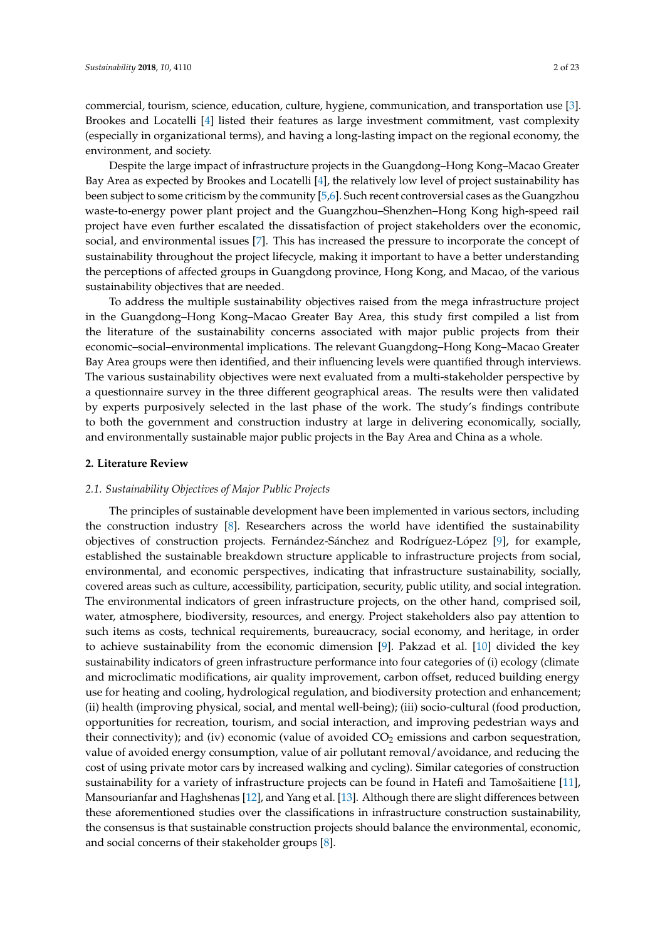commercial, tourism, science, education, culture, hygiene, communication, and transportation use [\[3\]](#page-22-2). Brookes and Locatelli [\[4\]](#page-22-3) listed their features as large investment commitment, vast complexity (especially in organizational terms), and having a long-lasting impact on the regional economy, the environment, and society.

Despite the large impact of infrastructure projects in the Guangdong–Hong Kong–Macao Greater Bay Area as expected by Brookes and Locatelli [\[4\]](#page-22-3), the relatively low level of project sustainability has been subject to some criticism by the community [\[5](#page-22-4)[,6\]](#page-22-5). Such recent controversial cases as the Guangzhou waste-to-energy power plant project and the Guangzhou–Shenzhen–Hong Kong high-speed rail project have even further escalated the dissatisfaction of project stakeholders over the economic, social, and environmental issues [\[7\]](#page-22-6). This has increased the pressure to incorporate the concept of sustainability throughout the project lifecycle, making it important to have a better understanding the perceptions of affected groups in Guangdong province, Hong Kong, and Macao, of the various sustainability objectives that are needed.

To address the multiple sustainability objectives raised from the mega infrastructure project in the Guangdong–Hong Kong–Macao Greater Bay Area, this study first compiled a list from the literature of the sustainability concerns associated with major public projects from their economic–social–environmental implications. The relevant Guangdong–Hong Kong–Macao Greater Bay Area groups were then identified, and their influencing levels were quantified through interviews. The various sustainability objectives were next evaluated from a multi-stakeholder perspective by a questionnaire survey in the three different geographical areas. The results were then validated by experts purposively selected in the last phase of the work. The study's findings contribute to both the government and construction industry at large in delivering economically, socially, and environmentally sustainable major public projects in the Bay Area and China as a whole.

#### **2. Literature Review**

#### *2.1. Sustainability Objectives of Major Public Projects*

The principles of sustainable development have been implemented in various sectors, including the construction industry [\[8\]](#page-22-7). Researchers across the world have identified the sustainability objectives of construction projects. Fernández-Sánchez and Rodríguez-López [\[9\]](#page-22-8), for example, established the sustainable breakdown structure applicable to infrastructure projects from social, environmental, and economic perspectives, indicating that infrastructure sustainability, socially, covered areas such as culture, accessibility, participation, security, public utility, and social integration. The environmental indicators of green infrastructure projects, on the other hand, comprised soil, water, atmosphere, biodiversity, resources, and energy. Project stakeholders also pay attention to such items as costs, technical requirements, bureaucracy, social economy, and heritage, in order to achieve sustainability from the economic dimension [\[9\]](#page-22-8). Pakzad et al. [\[10\]](#page-22-9) divided the key sustainability indicators of green infrastructure performance into four categories of (i) ecology (climate and microclimatic modifications, air quality improvement, carbon offset, reduced building energy use for heating and cooling, hydrological regulation, and biodiversity protection and enhancement; (ii) health (improving physical, social, and mental well-being); (iii) socio-cultural (food production, opportunities for recreation, tourism, and social interaction, and improving pedestrian ways and their connectivity); and (iv) economic (value of avoided  $CO<sub>2</sub>$  emissions and carbon sequestration, value of avoided energy consumption, value of air pollutant removal/avoidance, and reducing the cost of using private motor cars by increased walking and cycling). Similar categories of construction sustainability for a variety of infrastructure projects can be found in Hatefi and Tamošaitiene [\[11\]](#page-22-10), Mansourianfar and Haghshenas [\[12\]](#page-22-11), and Yang et al. [\[13\]](#page-22-12). Although there are slight differences between these aforementioned studies over the classifications in infrastructure construction sustainability, the consensus is that sustainable construction projects should balance the environmental, economic, and social concerns of their stakeholder groups [\[8\]](#page-22-7).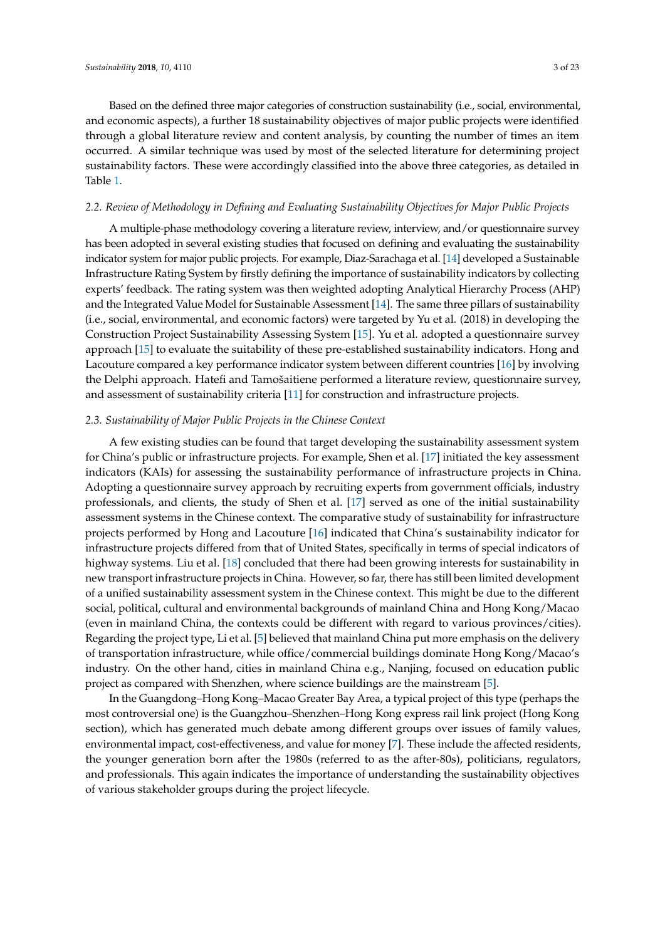Based on the defined three major categories of construction sustainability (i.e., social, environmental, and economic aspects), a further 18 sustainability objectives of major public projects were identified through a global literature review and content analysis, by counting the number of times an item occurred. A similar technique was used by most of the selected literature for determining project sustainability factors. These were accordingly classified into the above three categories, as detailed in Table [1.](#page-4-0)

#### *2.2. Review of Methodology in Defining and Evaluating Sustainability Objectives for Major Public Projects*

A multiple-phase methodology covering a literature review, interview, and/or questionnaire survey has been adopted in several existing studies that focused on defining and evaluating the sustainability indicator system for major public projects. For example, Diaz-Sarachaga et al. [\[14\]](#page-22-13) developed a Sustainable Infrastructure Rating System by firstly defining the importance of sustainability indicators by collecting experts' feedback. The rating system was then weighted adopting Analytical Hierarchy Process (AHP) and the Integrated Value Model for Sustainable Assessment [\[14\]](#page-22-13). The same three pillars of sustainability (i.e., social, environmental, and economic factors) were targeted by Yu et al. (2018) in developing the Construction Project Sustainability Assessing System [\[15\]](#page-23-0). Yu et al. adopted a questionnaire survey approach [\[15\]](#page-23-0) to evaluate the suitability of these pre-established sustainability indicators. Hong and Lacouture compared a key performance indicator system between different countries [\[16\]](#page-23-1) by involving the Delphi approach. Hatefi and Tamošaitiene performed a literature review, questionnaire survey, and assessment of sustainability criteria [\[11\]](#page-22-10) for construction and infrastructure projects.

#### *2.3. Sustainability of Major Public Projects in the Chinese Context*

A few existing studies can be found that target developing the sustainability assessment system for China's public or infrastructure projects. For example, Shen et al. [\[17\]](#page-23-2) initiated the key assessment indicators (KAIs) for assessing the sustainability performance of infrastructure projects in China. Adopting a questionnaire survey approach by recruiting experts from government officials, industry professionals, and clients, the study of Shen et al. [\[17\]](#page-23-2) served as one of the initial sustainability assessment systems in the Chinese context. The comparative study of sustainability for infrastructure projects performed by Hong and Lacouture [\[16\]](#page-23-1) indicated that China's sustainability indicator for infrastructure projects differed from that of United States, specifically in terms of special indicators of highway systems. Liu et al. [\[18\]](#page-23-3) concluded that there had been growing interests for sustainability in new transport infrastructure projects in China. However, so far, there has still been limited development of a unified sustainability assessment system in the Chinese context. This might be due to the different social, political, cultural and environmental backgrounds of mainland China and Hong Kong/Macao (even in mainland China, the contexts could be different with regard to various provinces/cities). Regarding the project type, Li et al. [\[5\]](#page-22-4) believed that mainland China put more emphasis on the delivery of transportation infrastructure, while office/commercial buildings dominate Hong Kong/Macao's industry. On the other hand, cities in mainland China e.g., Nanjing, focused on education public project as compared with Shenzhen, where science buildings are the mainstream [\[5\]](#page-22-4).

In the Guangdong–Hong Kong–Macao Greater Bay Area, a typical project of this type (perhaps the most controversial one) is the Guangzhou–Shenzhen–Hong Kong express rail link project (Hong Kong section), which has generated much debate among different groups over issues of family values, environmental impact, cost-effectiveness, and value for money [\[7\]](#page-22-6). These include the affected residents, the younger generation born after the 1980s (referred to as the after-80s), politicians, regulators, and professionals. This again indicates the importance of understanding the sustainability objectives of various stakeholder groups during the project lifecycle.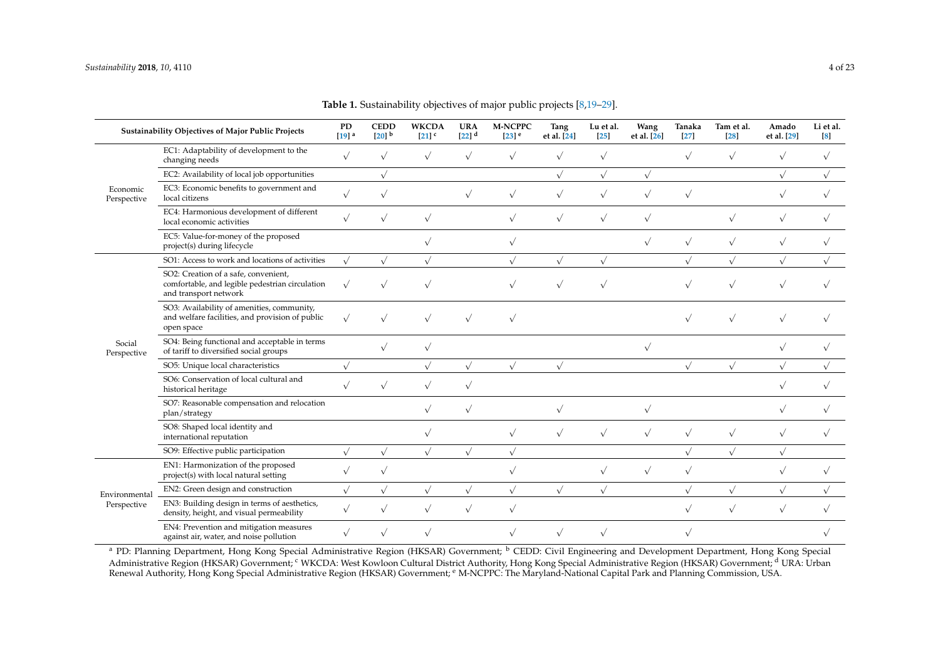|                         | Sustainability Objectives of Major Public Projects                                                               | PD<br>$[19]$ <sup>a</sup> | <b>CEDD</b><br>$[20]$ <sup>b</sup> | <b>WKCDA</b><br>$[21]$ <sup>c</sup> | <b>URA</b><br>$[22]$ <sup>d</sup> | <b>M-NCPPC</b><br>$[23]$ <sup>e</sup> | Tang<br>et al. [24] | Lu et al.<br><b>25</b> | Wang<br>et al. [26] | Tanaka<br>$[27]$ | Tam et al.<br>$[28]$ | Amado<br>et al. [29] | Li et al.<br>$\left[ 8 \right]$ |
|-------------------------|------------------------------------------------------------------------------------------------------------------|---------------------------|------------------------------------|-------------------------------------|-----------------------------------|---------------------------------------|---------------------|------------------------|---------------------|------------------|----------------------|----------------------|---------------------------------|
|                         | EC1: Adaptability of development to the<br>changing needs                                                        | $\sqrt{ }$                | $\sqrt{ }$                         | $\sqrt{}$                           | $\sqrt{}$                         | $\sqrt{}$                             | $\sqrt{}$           | $\sqrt{}$              |                     | $\sqrt{}$        | $\sqrt{}$            | $\sqrt{}$            | $\sqrt{ }$                      |
|                         | EC2: Availability of local job opportunities                                                                     |                           | $\sqrt{}$                          |                                     |                                   |                                       | $\sqrt{}$           | $\sqrt{}$              | $\sqrt{}$           |                  |                      | $\sqrt{}$            | $\sqrt{}$                       |
| Economic<br>Perspective | EC3: Economic benefits to government and<br>local citizens                                                       | $\sqrt{}$                 | $\sqrt{ }$                         |                                     | $\sqrt{}$                         | $\sqrt{}$                             | $\sqrt{}$           | $\sqrt{}$              | $\sqrt{}$           | $\sqrt{}$        |                      | $\sqrt{}$            | $\sqrt{ }$                      |
|                         | EC4: Harmonious development of different<br>local economic activities                                            | $\sqrt{ }$                | $\sqrt{}$                          | $\sqrt{}$                           |                                   | $\sqrt{}$                             | $\sqrt{}$           | $\sqrt{}$              | $\sqrt{ }$          |                  | $\sqrt{}$            | $\sqrt{ }$           | $\sqrt{ }$                      |
|                         | EC5: Value-for-money of the proposed<br>project(s) during lifecycle                                              |                           |                                    | $\sqrt{}$                           |                                   | $\sqrt{}$                             |                     |                        |                     | $\sqrt{}$        | $\sqrt{}$            | $\sqrt{}$            | $\sqrt{}$                       |
|                         | SO1: Access to work and locations of activities                                                                  | $\sqrt{ }$                | $\sqrt{}$                          | $\sqrt{}$                           |                                   | $\sqrt{}$                             | $\sqrt{ }$          | $\sqrt{}$              |                     | $\sqrt{}$        | $\sqrt{}$            | $\sqrt{}$            | $\sqrt{}$                       |
|                         | SO2: Creation of a safe, convenient,<br>comfortable, and legible pedestrian circulation<br>and transport network | $\sqrt{}$                 | $\sqrt{ }$                         |                                     |                                   | $\sqrt{ }$                            | $\sqrt{ }$          | $\sqrt{}$              |                     |                  | $\sqrt{}$            | $\sqrt{}$            |                                 |
|                         | SO3: Availability of amenities, community,<br>and welfare facilities, and provision of public<br>open space      | $\sqrt{}$                 | $\sqrt{ }$                         |                                     | $\sqrt{}$                         | $\sqrt{}$                             |                     |                        |                     |                  | $\sqrt{}$            | $\sqrt{}$            |                                 |
| Social<br>Perspective   | SO4: Being functional and acceptable in terms<br>of tariff to diversified social groups                          |                           | $\sqrt{}$                          | $\sqrt{}$                           |                                   |                                       |                     |                        | $\sqrt{ }$          |                  |                      | $\sqrt{}$            | $\sqrt{ }$                      |
|                         | SO5: Unique local characteristics                                                                                | $\sqrt{}$                 |                                    |                                     | $\sqrt{}$                         | $\sqrt{}$                             | $\sqrt{}$           |                        |                     |                  | $\sqrt{}$            | $\sqrt{}$            |                                 |
|                         | SO6: Conservation of local cultural and<br>historical heritage                                                   | $\sqrt{ }$                | $\sqrt{ }$                         | $\sqrt{}$                           | $\sqrt{}$                         |                                       |                     |                        |                     |                  |                      | $\sqrt{}$            | $\sqrt{ }$                      |
|                         | SO7: Reasonable compensation and relocation<br>plan/strategy                                                     |                           |                                    | $\sqrt{}$                           | $\sqrt{}$                         |                                       | $\sqrt{}$           |                        | $\sqrt{}$           |                  |                      | $\sqrt{}$            | $\sqrt{ }$                      |
|                         | SO8: Shaped local identity and<br>international reputation                                                       |                           |                                    | $\sqrt{}$                           |                                   | $\sqrt{}$                             | $\sqrt{}$           | $\sqrt{}$              |                     | $\sqrt{}$        | $\sqrt{}$            | $\sqrt{}$            | $\sqrt{}$                       |
|                         | SO9: Effective public participation                                                                              | $\sqrt{ }$                | $\sqrt{}$                          | $\sqrt{}$                           | $\sqrt{}$                         | $\sqrt{}$                             |                     |                        |                     | $\sqrt{ }$       | $\sqrt{}$            | $\sqrt{}$            |                                 |
|                         | EN1: Harmonization of the proposed<br>project(s) with local natural setting                                      | $\sqrt{}$                 | $\sqrt{ }$                         |                                     |                                   | $\sqrt{}$                             |                     | $\sqrt{}$              | $\sqrt{}$           | $\sqrt{}$        |                      | $\sqrt{}$            | $\sqrt{}$                       |
| Environmental           | EN2: Green design and construction                                                                               | $\sqrt{}$                 | $\sqrt{}$                          | $\sqrt{}$                           | $\sqrt{}$                         | $\sqrt{}$                             | $\sqrt{}$           | $\sqrt{}$              |                     |                  | $\sqrt{}$            | $\sqrt{}$            |                                 |
| Perspective             | EN3: Building design in terms of aesthetics,<br>density, height, and visual permeability                         | $\sqrt{}$                 | $\sqrt{ }$                         | $\sqrt{ }$                          | $\sqrt{}$                         | $\sqrt{}$                             |                     |                        |                     | $\sqrt{}$        | $\sqrt{}$            | $\sqrt{}$            | $\sqrt{ }$                      |
|                         | EN4: Prevention and mitigation measures<br>against air, water, and noise pollution                               | $\sqrt{}$                 | $\sqrt{ }$                         |                                     |                                   | $\sqrt{}$                             | $\sqrt{}$           | $\sqrt{}$              |                     |                  |                      |                      |                                 |

**Table 1.** Sustainability objectives of major public projects [\[8,](#page-22-14)[19](#page-23-4)[–29\]](#page-23-5).

<span id="page-4-0"></span><sup>a</sup> PD: Planning Department, Hong Kong Special Administrative Region (HKSAR) Government; <sup>b</sup> CEDD: Civil Engineering and Development Department, Hong Kong Special Administrative Region (HKSAR) Government; <sup>c</sup> WKCDA: West Kowloon Cultural District Authority, Hong Kong Special Administrative Region (HKSAR) Government; <sup>d</sup> URA: Urban Renewal Authority, Hong Kong Special Administrative Region (HKSAR) Government; <sup>e</sup> M-NCPPC: The Maryland-National Capital Park and Planning Commission, USA.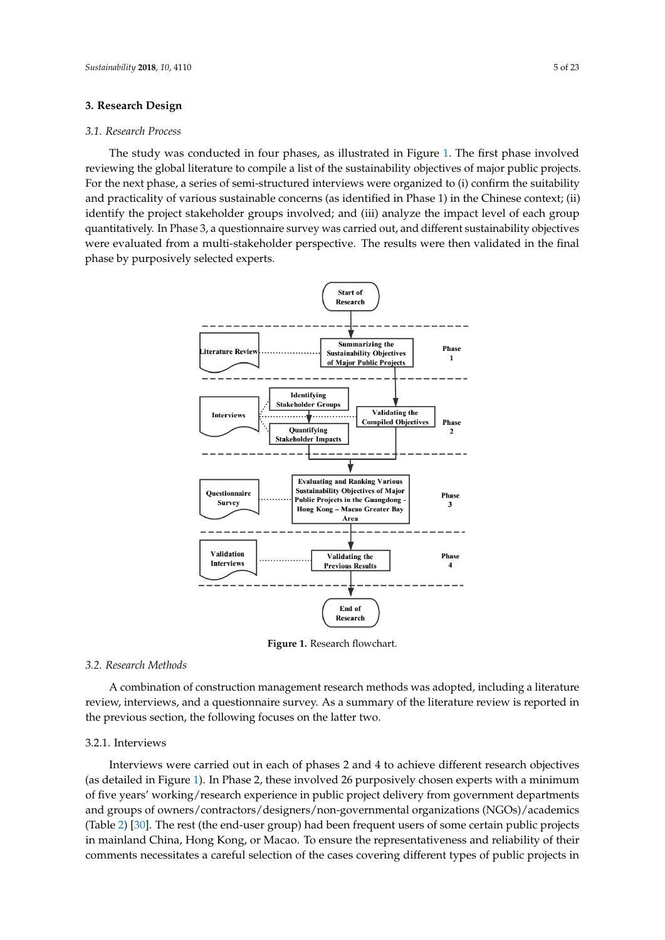# <span id="page-5-1"></span>**3. Research Design 3. Research Design**

# *3.1. Research Process 3.1. Research Process*

The study was conducted in four phases, as illustrated in Figure 1. The first phase involved The study was conducted in four phases, as illustrated in Figure [1.](#page-5-0) The first phase involved reviewing the global literature to compile a list of the sustainability objectives of major public projects. reviewing the global literature to compile a list of the sustainability objectives of major public projects. For the next phase, a series of semi-structured interviews were organized to (i) confirm the suitability For the next phase, a series of semi-structured interviews were organized to (i) confirm the suitability and practicality of various sustainable concerns (as identified in Phase 1) in the Chinese context; (ii) and practicality of various sustainable concerns (as identified in Phase 1) in the Chinese context; (ii) identify the project stakeholder groups involved; and (iii) analyze the impact level of each group identify the project stakeholder groups involved; and (iii) analyze the impact level of each group quantitatively. In Phase 3, a questionnaire survey was carried out, and different sustainability objectives quantitatively. In Phase 3, a questionnaire survey was carried out, and different sustainability were evaluated from a multi-stakeholder perspective. The results were then validated in the final phase by purposively selected experts. the final phase by purposively selected experts.

<span id="page-5-0"></span>

**Figure 1.** Research flowchart. **Figure 1.** Research flowchart.

#### *3.2. Research Methods*

review, interviews, and a questionnaire survey. As a summary of the literature review is reported in the previous section, the following focuses on the latter two.  $r_{\rm r}$  is the following section, the following formulation, the latter two. A combination of construction management research methods was adopted, including a literature

#### 3.2.1. Interviews

3.2.1. Interviews (as detailed in Figure [1\)](#page-5-0). In Phase 2, these involved 26 purposively chosen experts with a minimum of five years' working/research experience in public project delivery from government departments and groups of owners/contractors/designers/non-governmental organizations (NGOs)/academics (Table [2\)](#page-6-0) [\[30\]](#page-23-15). The rest (the end-user group) had been frequent users of some certain public projects in mainland China, Hong Kong, or Macao. To ensure the representativeness and reliability of their comments necessitates a careful selection of the cases covering different types of public projects in Interviews were carried out in each of phases 2 and 4 to achieve different research objectives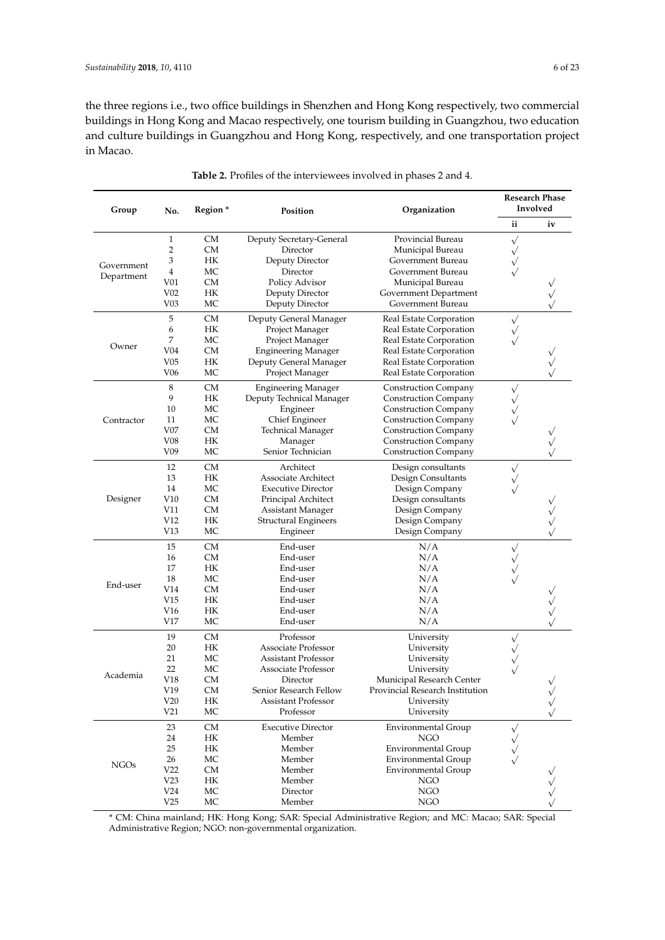the three regions i.e., two office buildings in Shenzhen and Hong Kong respectively, two commercial buildings in Hong Kong and Macao respectively, one tourism building in Guangzhou, two education and culture buildings in Guangzhou and Hong Kong, respectively, and one transportation project in Macao.

<span id="page-6-0"></span>

| Group       | No.             | Region <sup>*</sup> | Position                    | Organization                    |              | <b>Research Phase</b><br>Involved |
|-------------|-----------------|---------------------|-----------------------------|---------------------------------|--------------|-----------------------------------|
|             |                 |                     |                             |                                 | ii           | iv                                |
|             | $\mathbf{1}$    | CМ                  | Deputy Secretary-General    | Provincial Bureau               | $\sqrt{}$    |                                   |
|             | 2               | CМ                  | Director                    | Municipal Bureau                | $\checkmark$ |                                   |
|             | 3               | HК                  | Deputy Director             | Government Bureau               | $\sqrt{}$    |                                   |
| Government  | 4               | МC                  | Director                    | Government Bureau               | $\sqrt{}$    |                                   |
| Department  | V <sub>01</sub> | CМ                  | Policy Advisor              | Municipal Bureau                |              |                                   |
|             | V <sub>02</sub> | HК                  | Deputy Director             | Government Department           |              |                                   |
|             | V <sub>03</sub> | МC                  | Deputy Director             | Government Bureau               |              |                                   |
|             |                 |                     |                             |                                 |              |                                   |
|             | 5               | CМ                  | Deputy General Manager      | Real Estate Corporation         | $\sqrt{}$    |                                   |
|             | 6               | HК                  | Project Manager             | Real Estate Corporation         | $\sqrt{}$    |                                   |
| Owner       | 7               | МC                  | Project Manager             | Real Estate Corporation         |              |                                   |
|             | V <sub>04</sub> | CМ                  | <b>Engineering Manager</b>  | Real Estate Corporation         |              |                                   |
|             | V05             | HК                  | Deputy General Manager      | Real Estate Corporation         |              |                                   |
|             | V06             | МC                  | Project Manager             | Real Estate Corporation         |              |                                   |
|             | 8               | <b>CM</b>           | <b>Engineering Manager</b>  | <b>Construction Company</b>     | $\sqrt{}$    |                                   |
|             | 9               | НK                  | Deputy Technical Manager    | <b>Construction Company</b>     | $\sqrt{}$    |                                   |
|             | 10              | МC                  | Engineer                    | <b>Construction Company</b>     | $\checkmark$ |                                   |
| Contractor  | 11              | МC                  | Chief Engineer              | <b>Construction Company</b>     | $\sqrt{}$    |                                   |
|             | V07             | CМ                  | Technical Manager           | <b>Construction Company</b>     |              |                                   |
|             | V08             | HК                  | Manager                     | <b>Construction Company</b>     |              |                                   |
|             | V <sub>09</sub> | MC                  | Senior Technician           | <b>Construction Company</b>     |              |                                   |
|             | 12              | CМ                  | Architect                   | Design consultants              |              |                                   |
|             |                 |                     | <b>Associate Architect</b>  |                                 | $\sqrt{}$    |                                   |
|             | 13              | HК                  |                             | Design Consultants              | $\sqrt{}$    |                                   |
|             | 14              | МC                  | <b>Executive Director</b>   | Design Company                  |              |                                   |
| Designer    | V10             | CМ                  | Principal Architect         | Design consultants              |              |                                   |
|             | V11             | CМ                  | Assistant Manager           | Design Company                  |              |                                   |
|             | V12             | HК                  | <b>Structural Engineers</b> | Design Company                  |              |                                   |
|             | V13             | МC                  | Engineer                    | Design Company                  |              |                                   |
|             | 15              | <b>CM</b>           | End-user                    | N/A                             | $\sqrt{}$    |                                   |
|             | 16              | CМ                  | End-user                    | N/A                             |              |                                   |
|             | 17              | HК                  | End-user                    | N/A                             |              |                                   |
|             | 18              | МC                  | End-user                    | N/A                             |              |                                   |
| End-user    | V14             | CМ                  | End-user                    | N/A                             |              |                                   |
|             | V15             | HК                  | End-user                    | N/A                             |              |                                   |
|             | V <sub>16</sub> | HК                  | End-user                    | N/A                             |              |                                   |
|             | V17             | МC                  | End-user                    | N/A                             |              |                                   |
|             | 19              | CМ                  | Professor                   | University                      | $\sqrt{}$    |                                   |
|             | 20              | HК                  | <b>Associate Professor</b>  | University                      | $\checkmark$ |                                   |
|             | 21              | МC                  | <b>Assistant Professor</b>  | University                      | $\sqrt{}$    |                                   |
|             | 22              | МC                  | Associate Professor         | University                      | $\sqrt{}$    |                                   |
| Academia    | V18             | СM                  | Director                    | Municipal Research Center       |              |                                   |
|             | V19             | CМ                  | Senior Research Fellow      | Provincial Research Institution |              |                                   |
|             | V20             | НK                  | <b>Assistant Professor</b>  | University                      |              | $\sqrt{}$                         |
|             | V21             | MC                  | Professor                   | University                      |              |                                   |
|             |                 |                     |                             |                                 |              |                                   |
|             | 23              | CM                  | <b>Executive Director</b>   | <b>Environmental Group</b>      | $\sqrt{}$    |                                   |
|             | 24              | НK                  | Member                      | <b>NGO</b>                      | $\sqrt{}$    |                                   |
|             | 25              | HК                  | Member                      | <b>Environmental Group</b>      |              |                                   |
| <b>NGOs</b> | 26              | МC                  | Member                      | <b>Environmental Group</b>      | $\sqrt{}$    |                                   |
|             | V22             | CM                  | Member                      | <b>Environmental Group</b>      |              |                                   |
|             | V23             | НK                  | Member                      | NGO                             |              |                                   |
|             | V24             | MC                  | Director                    | <b>NGO</b>                      |              |                                   |
|             | V25             | MC                  | Member                      | NGO                             |              |                                   |

**Table 2.** Profiles of the interviewees involved in phases 2 and 4.

\* CM: China mainland; HK: Hong Kong; SAR: Special Administrative Region; and MC: Macao; SAR: Special Administrative Region; NGO: non-governmental organization.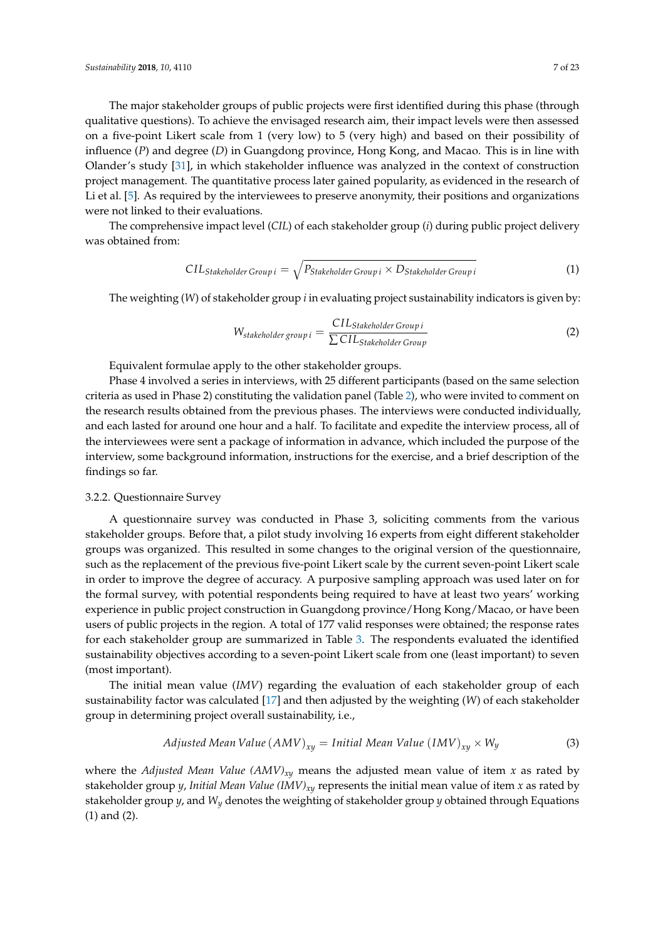The major stakeholder groups of public projects were first identified during this phase (through qualitative questions). To achieve the envisaged research aim, their impact levels were then assessed on a five-point Likert scale from 1 (very low) to 5 (very high) and based on their possibility of influence (*P*) and degree (*D*) in Guangdong province, Hong Kong, and Macao. This is in line with Olander's study [\[31\]](#page-23-16), in which stakeholder influence was analyzed in the context of construction project management. The quantitative process later gained popularity, as evidenced in the research of Li et al. [\[5\]](#page-22-4). As required by the interviewees to preserve anonymity, their positions and organizations were not linked to their evaluations.

The comprehensive impact level (*CIL*) of each stakeholder group (*i*) during public project delivery was obtained from:

$$
CIL_{Stakeholder Group i} = \sqrt{P_{Stakeholder Group i} \times D_{Stakeholder Group i}}
$$
 (1)

The weighting (*W*) of stakeholder group *i* in evaluating project sustainability indicators is given by:

$$
W_{stakeholder group i} = \frac{CIL_{Stakeholder Group i}}{\sum CIL_{Stakeholder Group}}
$$
\n(2)

Equivalent formulae apply to the other stakeholder groups.

Phase 4 involved a series in interviews, with 25 different participants (based on the same selection criteria as used in Phase 2) constituting the validation panel (Table [2\)](#page-6-0), who were invited to comment on the research results obtained from the previous phases. The interviews were conducted individually, and each lasted for around one hour and a half. To facilitate and expedite the interview process, all of the interviewees were sent a package of information in advance, which included the purpose of the interview, some background information, instructions for the exercise, and a brief description of the findings so far.

#### 3.2.2. Questionnaire Survey

A questionnaire survey was conducted in Phase 3, soliciting comments from the various stakeholder groups. Before that, a pilot study involving 16 experts from eight different stakeholder groups was organized. This resulted in some changes to the original version of the questionnaire, such as the replacement of the previous five-point Likert scale by the current seven-point Likert scale in order to improve the degree of accuracy. A purposive sampling approach was used later on for the formal survey, with potential respondents being required to have at least two years' working experience in public project construction in Guangdong province/Hong Kong/Macao, or have been users of public projects in the region. A total of 177 valid responses were obtained; the response rates for each stakeholder group are summarized in Table [3.](#page-8-0) The respondents evaluated the identified sustainability objectives according to a seven-point Likert scale from one (least important) to seven (most important).

The initial mean value (*IMV*) regarding the evaluation of each stakeholder group of each sustainability factor was calculated [\[17\]](#page-23-2) and then adjusted by the weighting (*W*) of each stakeholder group in determining project overall sustainability, i.e.,

$$
Adjusted Mean Value (AMV)_{xy} = Initial Mean Value (IMV)_{xy} \times W_y
$$
\n(3)

where the *Adjusted Mean Value (AMV)xy* means the adjusted mean value of item *x* as rated by stakeholder group *y*, *Initial Mean Value (IMV)xy* represents the initial mean value of item *x* as rated by stakeholder group *y*, and *Wy* denotes the weighting of stakeholder group *y* obtained through Equations (1) and (2).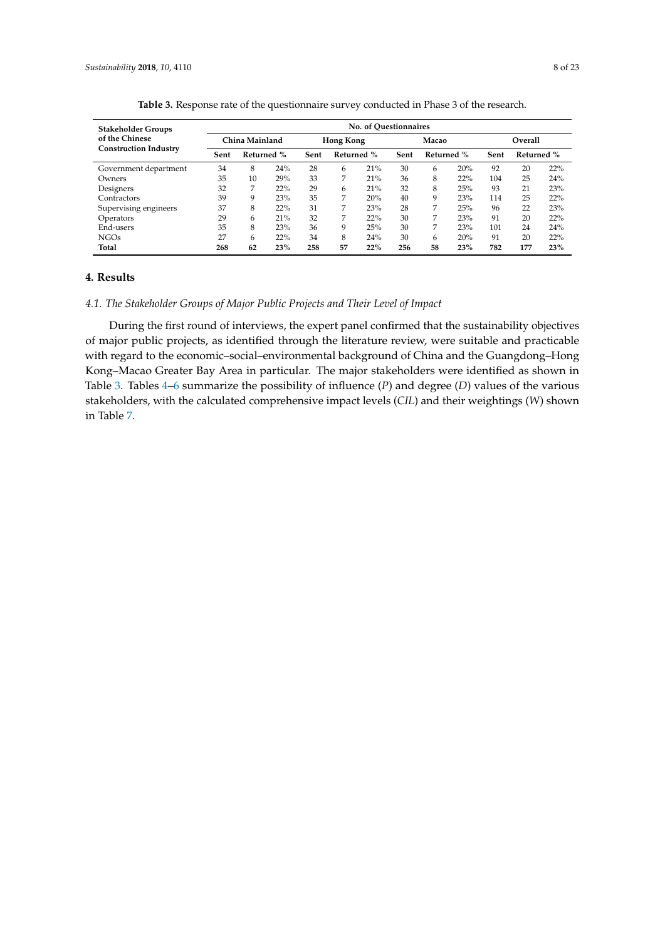<span id="page-8-0"></span>

| <b>Stakeholder Groups</b>    |      |                |     |      |            | No. of Ouestionnaires |      |            |     |      |            |     |
|------------------------------|------|----------------|-----|------|------------|-----------------------|------|------------|-----|------|------------|-----|
| of the Chinese               |      | China Mainland |     |      | Hong Kong  |                       |      | Macao      |     |      | Overall    |     |
| <b>Construction Industry</b> | Sent | Returned %     |     | Sent | Returned % |                       | Sent | Returned % |     | Sent | Returned % |     |
| Government department        | 34   | 8              | 24% | 28   | 6          | 21%                   | 30   | 6          | 20% | 92   | 20         | 22% |
| Owners                       | 35   | 10             | 29% | 33   | 7          | 21%                   | 36   | 8          | 22% | 104  | 25         | 24% |
| Designers                    | 32   | 7              | 22% | 29   | 6          | 21%                   | 32   | 8          | 25% | 93   | 21         | 23% |
| Contractors                  | 39   | 9              | 23% | 35   | 7          | 20%                   | 40   | 9          | 23% | 114  | 25         | 22% |
| Supervising engineers        | 37   | 8              | 22% | 31   | 7          | 23%                   | 28   | 7          | 25% | 96   | 22         | 23% |
| Operators                    | 29   | 6              | 21% | 32   | 7          | 22%                   | 30   | 7          | 23% | 91   | 20         | 22% |
| End-users                    | 35   | 8              | 23% | 36   | 9          | 25%                   | 30   | 7          | 23% | 101  | 24         | 24% |
| <b>NGOs</b>                  | 27   | 6              | 22% | 34   | 8          | 24%                   | 30   | 6          | 20% | 91   | 20         | 22% |
| Total                        | 268  | 62             | 23% | 258  | 57         | 22%                   | 256  | 58         | 23% | 782  | 177        | 23% |

**Table 3.** Response rate of the questionnaire survey conducted in Phase 3 of the research.

## **4. Results**

## *4.1. The Stakeholder Groups of Major Public Projects and Their Level of Impact*

During the first round of interviews, the expert panel confirmed that the sustainability objectives of major public projects, as identified through the literature review, were suitable and practicable with regard to the economic–social–environmental background of China and the Guangdong–Hong Kong–Macao Greater Bay Area in particular. The major stakeholders were identified as shown in Table [3.](#page-8-0) Tables [4](#page-9-0)[–6](#page-11-0) summarize the possibility of influence (*P*) and degree (*D*) values of the various stakeholders, with the calculated comprehensive impact levels (*CIL*) and their weightings (*W*) shown in Table [7.](#page-12-0)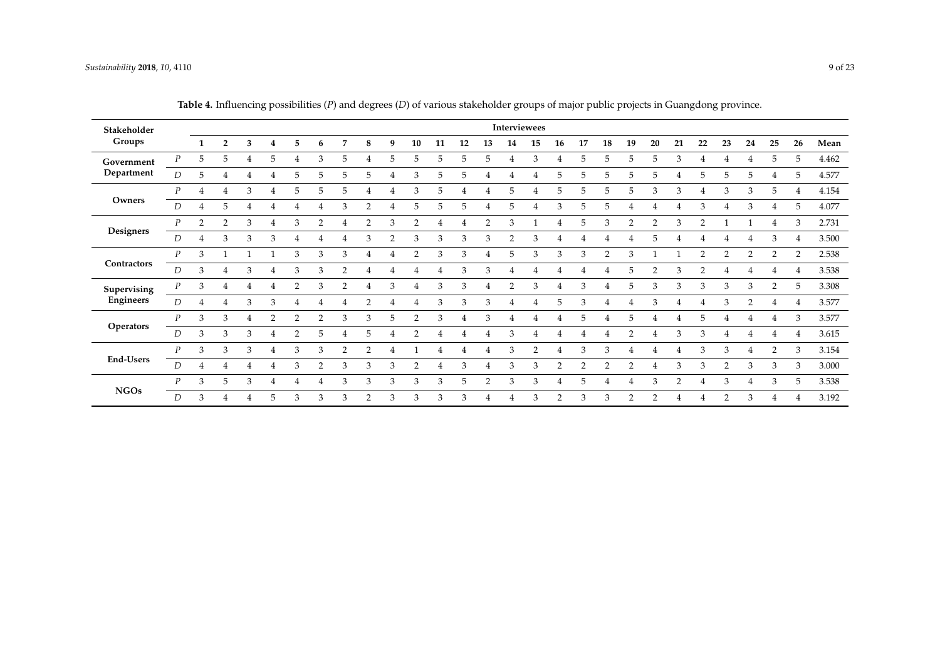<span id="page-9-0"></span>

| Stakeholder      |                  |   |                |   |   |                |               |                |                |    |                |    |    |                |                | Interviewees   |                |                |    |    |               |    |                |               |    |                |               |       |
|------------------|------------------|---|----------------|---|---|----------------|---------------|----------------|----------------|----|----------------|----|----|----------------|----------------|----------------|----------------|----------------|----|----|---------------|----|----------------|---------------|----|----------------|---------------|-------|
| Groups           |                  | 1 | $\overline{2}$ | 3 | 4 | 5              | 6             | 7              | 8              | 9  | 10             | 11 | 12 | 13             | 14             | 15             | 16             | 17             | 18 | 19 | 20            | 21 | 22             | 23            | 24 | 25             | 26            | Mean  |
| Government       | P                | 5 | 5              | 4 | 5 | 4              | 3             | 5              | 4              | 5. | 5              | 5  | 5. | 5              | 4              | 3              | 4              | 5              | 5  | 5  | 5             | 3  | 4              | 4             |    | 5              | .5            | 4.462 |
| Department       | D                | 5 |                |   |   | 5              | 5             | .5             | 5              | 4  | 3              | 5  | 5. | 4              | 4              |                | 5              | 5              | 5. | 5  | 5             | 4  | 5              | 5             | 5. | 4              | 5             | 4.577 |
|                  | $\boldsymbol{p}$ | 4 |                | 3 | 4 | 5              | 5             | .5             |                |    | 3              | 5  |    | 4              | 5              |                | 5              | 5              | 5. | 5  | 3             | 3  | 4              | 3             | 3  | 5              |               | 4.154 |
| Owners           | D                | 4 | 5              |   |   | 4              | 4             | 3              | 2              |    | 5              | 5  | 5. |                | 5              |                | 3              | 5              | 5  |    |               | 4  | 3              |               | 3  | 4              | 5             | 4.077 |
|                  | $\boldsymbol{P}$ | 2 | $\mathcal{P}$  | 3 |   | 3              | $\mathcal{D}$ |                | $\overline{2}$ | 3  | $\overline{2}$ | 4  |    | $\overline{2}$ | 3              |                |                | 5              | 3  | C  | 2             | 3  | C              |               |    | 4              | 3             | 2.731 |
| Designers        | D                | 4 | 3              | 3 | 3 | 4              | 4             | 4              | 3              | c  | 3              | 3  | 3  | 3              | $\overline{2}$ | 3              |                | 4              |    |    | 5             | 4  | 4              |               |    | 3              |               | 3.500 |
|                  | $\boldsymbol{P}$ | 3 |                |   |   | 3              | 3             | 3              |                | 4  | $\overline{2}$ | 3  | 3  | 4              | 5              | 3              | 3              | 3              | 2  | 3  |               |    | $\overline{2}$ | $\mathcal{P}$ | 2  | 2              | $\mathcal{D}$ | 2.538 |
| Contractors      | $\boldsymbol{D}$ | 3 | 4              | 3 | 4 | 3              | 3             | $\mathcal{P}$  |                |    |                | 4  | 3  | 3              | 4              |                |                | 4              |    | 5  | $\mathcal{D}$ | 3  | $\mathcal{P}$  |               |    | 4              |               | 3.538 |
| Supervising      | $\boldsymbol{P}$ | 3 | 4              | 4 | 4 | $\overline{2}$ | 3             | 2              |                | 3  | 4              | 3  | 3  | $\overline{4}$ | 2              | 3              | $\overline{4}$ | 3              | 4  | 5  | 3             | 3  | 3              | 3             | 3  | $\mathcal{P}$  | .5            | 3.308 |
| Engineers        | $\overline{D}$   | 4 |                |   | 3 |                |               |                | 2              |    |                | 3  | 3  | 3              |                |                | 5              | 3              |    |    | 3             |    |                | $\mathcal{R}$ | 2  |                |               | 3.577 |
|                  | $\boldsymbol{P}$ | 3 | 3              |   | 2 | 2              | 2             | 3              | 3              | 5  | $\overline{2}$ | 3  |    | 3              |                |                |                | 5              |    | 5  |               |    | 5              |               |    |                | 3             | 3.577 |
| Operators        | D                | 3 | 3              | 3 | 4 | $\overline{2}$ | 5             | 4              | 5              |    | $\mathcal{P}$  |    |    | 4              | 3              |                |                | 4              |    | 2  |               | 3  | 3              |               |    |                |               | 3.615 |
|                  | $\boldsymbol{p}$ | 3 | 3              | 3 | 4 | 3              | 3             | $\overline{2}$ | $\overline{2}$ |    |                |    |    | 4              | 3              | $\overline{2}$ |                | 3              | 3  |    |               | 4  | 3              | 3             |    | $\overline{2}$ | 3             | 3.154 |
| <b>End-Users</b> | D                | 4 |                |   |   | 3              | $\mathcal{P}$ | 3              | 3              | 3  | $\overline{2}$ | 4  | 3  | 4              | 3              | 3              | $\overline{2}$ | $\overline{2}$ | 2  | 2  |               | 3  | 3              | 2             | 3  | 3              | 3             | 3.000 |
|                  | $\boldsymbol{P}$ | 3 | 5              | 3 | 4 | 4              | 4             | 3              | 3              | 3  | 3              | 3  | 5. | $\overline{2}$ | 3              | 3              | $\overline{4}$ | 5              |    | 4  | 3             | 2  | 4              | 3             | 4  | 3              | 5             | 3.538 |
| <b>NGOs</b>      | D                | 3 |                |   | 5 | 3              | 3             | 3              | 2              | 3  | 3              | 3  | 3  | 4              | 4              | 3              | $\mathcal{P}$  | 3              | 3  | 2  | $\mathcal{D}$ |    | 4              | 2             | 3  | $\overline{4}$ |               | 3.192 |

**Table 4.** Influencing possibilities (*P*) and degrees (*D*) of various stakeholder groups of major public projects in Guangdong province.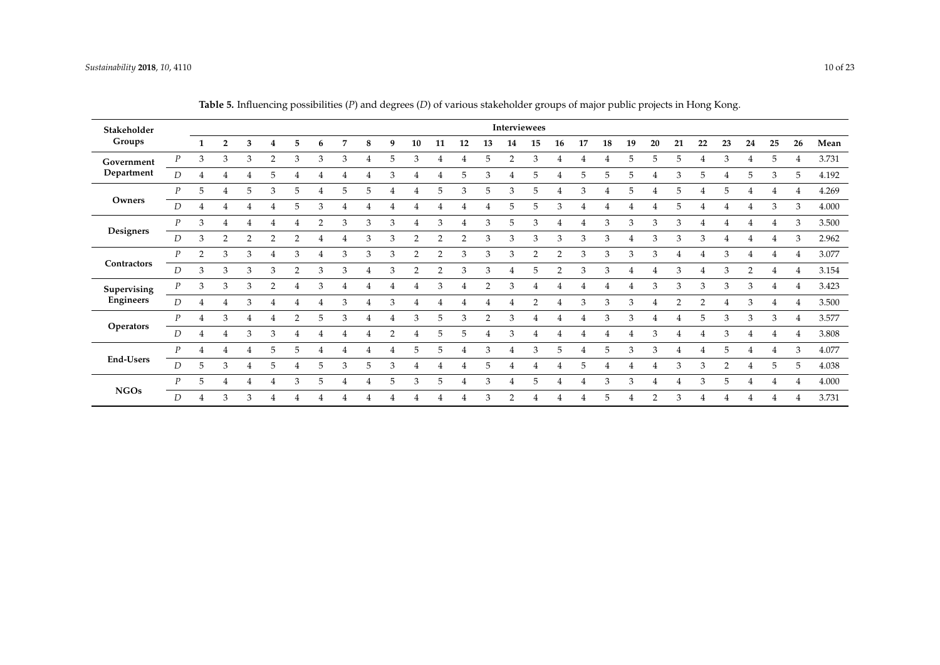| Stakeholder      |                  |                |                |               |                |                |               |   |   |               |                |                |                |               |                | Interviewees   |                |    |    |    |                |    |    |                |    |    |          |       |
|------------------|------------------|----------------|----------------|---------------|----------------|----------------|---------------|---|---|---------------|----------------|----------------|----------------|---------------|----------------|----------------|----------------|----|----|----|----------------|----|----|----------------|----|----|----------|-------|
| Groups           |                  | 1              | $\overline{2}$ | 3             | 4              | 5              | 6             | 7 | 8 | 9             | 10             | 11             | 12             | 13            | 14             | 15             | 16             | 17 | 18 | 19 | 20             | 21 | 22 | 23             | 24 | 25 | 26       | Mean  |
| Government       | P                | 3              | 3              | 3             | $\overline{2}$ | 3              | 3             | 3 | 4 | 5.            | 3              | 4              | 4              | 5             | $\overline{2}$ | 3              | 4              | 4  | 4  | 5  | 5              | 5  | 4  | 3              | 4  | 5  |          | 3.731 |
| Department       | $\overline{D}$   |                |                |               | 5              | 4              |               |   | 4 | 3             |                | 4              | 5.             | 3             | 4              | 5              | 4              | 5  | 5. | 5  | $\overline{4}$ | 3  | 5. | $\overline{4}$ | 5  | 3  | 5        | 4.192 |
|                  | P                | 5              | 4              | 5.            | 3              | 5              |               | 5 | 5 |               | 4              | 5              | 3              | 5             | 3              | 5              | 4              | 3  | 4  | 5  | 4              | 5  |    | 5              |    | 4  |          | 4.269 |
| Owners           | D                | 4              |                |               |                | 5              | 3             |   |   |               |                | 4              |                |               | 5              | 5              | 3              |    |    |    |                | 5  |    |                | 4  | 3  | 3        | 4.000 |
|                  | P                | 3              | 4              | 4             |                |                | $\mathcal{D}$ | 3 | 3 | 3             | $\overline{4}$ | 3              |                | 3             | 5              | 3              | 4              |    | 3  | 3  | 3              | 3  |    | 4              |    |    | З        | 3.500 |
| Designers        | D                | 3              | $\overline{2}$ | $\mathcal{D}$ | $\overline{2}$ | $\overline{2}$ |               | 4 | 3 | 3             | $\overline{2}$ | $\overline{2}$ | $\overline{2}$ | 3             | 3              | 3              | 3              | 3  | 3  |    | 3              | 3  | 3  | 4              | 4  |    | Э        | 2.962 |
|                  | $\boldsymbol{P}$ | $\overline{2}$ | 3              | 3             | 4              | 3              |               | 3 | 3 | 3             | $\overline{2}$ | $\overline{2}$ | 3              | 3             | 3              | $\overline{2}$ | $\overline{2}$ | 3  | 3  | 3  | 3              | 4  |    | 3              | 4  |    |          | 3.077 |
| Contractors      | D                | 3              | $\mathbf{3}$   | 3             | 3              | $\overline{2}$ | 3             | 3 | 4 | 3             | $\overline{2}$ | $\overline{2}$ | 3              | 3             | $\overline{4}$ | 5              | $\overline{2}$ | 3  | 3  | 4  |                | 3  |    | 3              | 2  | 4  |          | 3.154 |
| Supervising      | $\boldsymbol{P}$ | 3              | 3              | 3             | $\overline{2}$ | 4              | 3             | 4 | 4 |               |                | 3              |                | $\mathcal{P}$ | 3              | 4              | 4              |    |    |    | 3              | 3  | 3  | 3              | 3  | 4  |          | 3.423 |
| Engineers        | D                |                |                |               |                |                |               | 3 |   |               |                | 4              |                |               |                | 2              |                | 3  | 3  | 3  |                | 2  |    |                | 3  |    |          | 3.500 |
|                  | $\overline{P}$   | 4              | 3              |               |                | 2              | 5.            | 3 | 4 |               | 3              | 5              | 3              | $\mathcal{P}$ | 3              | 4              | 4              |    | 3  | 3  |                |    | 5  | 3              | 3  | 3  |          | 3.577 |
| <b>Operators</b> | D                | 4              |                | 3             | 3              | 4              |               |   |   | $\mathcal{P}$ |                | 5              | 5              |               | 3              | 4              |                |    |    |    | 3              | 4  |    | 3              | 4  |    |          | 3.808 |
|                  | $\boldsymbol{P}$ | 4              |                |               | 5              | 5              |               |   | 4 |               | 5              | 5              | 4              | 3             | 4              | 3              | 5              |    | 5  | 3  | 3              | 4  |    | 5              | 4  |    | 3        | 4.077 |
| <b>End-Users</b> | D                | 5              | 3              | 4             | 5              | 4              | 5             | 3 | 5 | 3             | 4              | 4              | 4              | 5             |                | 4              | 4              | 5  | 4  | 4  |                | 3  | 3  | $\mathcal{P}$  | 4  | 5  | 5        | 4.038 |
|                  | P                | 5              |                | 4             | 4              | 3              | 5             | 4 | 4 | 5             | 3              | 5              | 4              | 3             | $\overline{4}$ | 5              | 4              | 4  | 3  | 3  | $\overline{4}$ | 4  | 3  | 5              | 4  | 4  | $\Delta$ | 4.000 |
| <b>NGOs</b>      | D                | 4              | 3              |               |                |                |               |   |   |               |                | 4              |                | 3             | $\mathcal{D}$  |                | 4              |    | 5. | 4  | $\mathcal{D}$  | 3  |    |                |    |    |          | 3.731 |

**Table 5.** Influencing possibilities (*P*) and degrees (*D*) of various stakeholder groups of major public projects in Hong Kong.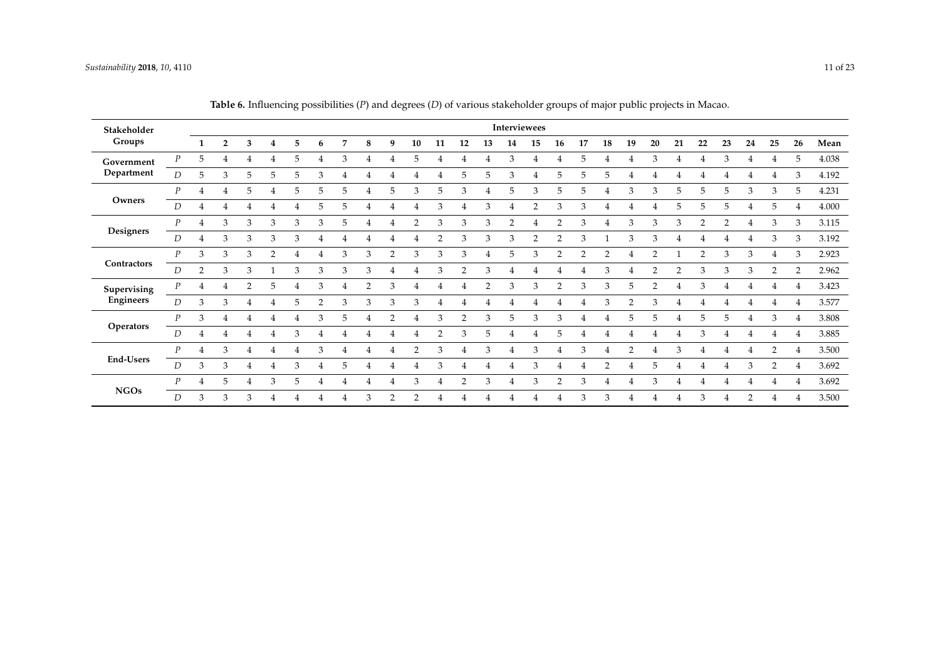<span id="page-11-0"></span>

| Stakeholder   |                  |                |                |    |                |   |    |   |   |                |                |                |    |                |                | Interviewees |                |               |                |                |               |                |                |                |    |                |                             |       |
|---------------|------------------|----------------|----------------|----|----------------|---|----|---|---|----------------|----------------|----------------|----|----------------|----------------|--------------|----------------|---------------|----------------|----------------|---------------|----------------|----------------|----------------|----|----------------|-----------------------------|-------|
| Groups        |                  | 1              | $\overline{2}$ | 3  | 4              | 5 | 6  | 7 | 8 | 9              | 10             | 11             | 12 | 13             | 14             | 15           | 16             | 17            | 18             | 19             | 20            | 21             | 22             | 23             | 24 | 25             | 26                          | Mean  |
| Government    | $\boldsymbol{P}$ | 5              | 4              | 4  | 4              | 5 | 4  | 3 | 4 | 4              | 5              | 4              |    | 4              | 3              | 4            | 4              | 5             | 4              | 4              | 3             | 4              | 4              | 3              | 4  | 4              | -5                          | 4.038 |
| Department    | D                | 5              | 3              | 5  | 5              | 5 | 3  |   | 4 |                | 4              | 4              | 5  | 5              | 3              |              | 5              | 5             | 5              | 4              |               |                |                |                |    | 4              | 3                           | 4.192 |
|               | $\overline{P}$   | 4              | 4              | 5. |                | 5 | 5. | 5 | 4 | 5.             | 3              | 5              | 3  |                | 5              | 3            | 5              | 5             |                | 3              | 3             | 5              | 5              | .5             | 3  | 3              | 5                           | 4.231 |
| Owners        | D                |                |                |    |                |   | 5  | 5 |   |                |                | 3              |    | 3              |                | 2            | 3              | 3             |                |                |               | 5              | 5              | 5              |    | 5              |                             | 4.000 |
|               | $\boldsymbol{P}$ | 4              | 3              | 3  | 3              | 3 | 3  | 5 | 4 |                | $\overline{2}$ | 3              | 3  | 3              | $\overline{2}$ |              | $\overline{2}$ | 3             | 4              | 3              | 3             | 3              | $\overline{2}$ | $\overline{2}$ | 4  | 3              | 3                           | 3.115 |
| Designers     | D                | 4              | 3              | 3  | 3              | 3 |    |   |   |                |                | $\overline{2}$ | 3  | 3              | 3              | 2            | $\overline{2}$ | 3             |                | 3              | 3             | 4              |                |                |    | 3              | 3                           | 3.192 |
|               | $\overline{P}$   | 3              | 3              | 3  | $\overline{2}$ | 4 | 4  | 3 | 3 | $\overline{2}$ | 3              | 3              | 3  | 4              | 5              | 3            | $\overline{2}$ | $\mathcal{P}$ | $\overline{2}$ | 4              | $\mathcal{P}$ |                | 2              | 3              | 3  | 4              | 3                           | 2.923 |
| Contractors   | D                | $\overline{2}$ | 3              | 3  |                | 3 | 3  | 3 | 3 |                | 4              | 3              | 2  | 3              | 4              |              | 4              |               | 3              | 4              | 2             | $\overline{2}$ | 3              | 3              | 3  | 2              | $\mathcal{P}$               | 2.962 |
| Supervising   | $\boldsymbol{P}$ | 4              | 4              | C  | 5              |   | 3  |   | 2 | 3              | 4              | 4              |    | $\overline{2}$ | 3              | 3            | $\overline{2}$ | 3             | 3              | 5              |               |                | 3              |                |    |                |                             | 3.423 |
| Engineers     | D                | 3              | 3              |    |                | 5 |    | 3 | 3 | 3              | 3              |                |    |                |                |              |                |               | 3              |                | 3             |                |                |                |    |                |                             | 3.577 |
|               | P                | 3              | 4              |    |                |   |    | 5 |   |                |                | 3              | っ  | 3              | 5              | 3            | 3              |               |                | 5              | 5             |                | 5              | 5              | 4  | 3              | $\overline{4}$              | 3.808 |
| Operators     | D                |                |                |    |                | 3 |    |   |   |                | 4              | $\overline{2}$ | 3  | 5              | 4              | 4            | 5              |               |                |                |               | 4              | 3              |                | 4  | 4              | $\overline{4}$              | 3.885 |
|               | $\overline{P}$   | 4              | 3              | 4  | 4              | 4 | 3  | 4 | 4 | 4              | $\overline{2}$ | 3              | 4  | 3              | 4              | 3            | 4              | 3             | 4              | $\overline{2}$ |               | 3              | 4              | $\overline{4}$ | 4  | 2              | $\overline{4}$              | 3.500 |
| End-Users     | D                | 3              | 3              | 4  | 4              | 3 | 4  | 5 | 4 | 4              | 4              | 3              | 4  | $\overline{4}$ | 4              | 3            | 4              | 4             | $\overline{2}$ | 4              | 5             | 4              | 4              | $\overline{4}$ | 3  | $\overline{2}$ | $\boldsymbol{\vartriangle}$ | 3.692 |
|               | $\overline{P}$   | 4              | 5              | 4  | 3              | 5 | 4  |   | 4 | 4              | 3              | 4              | 2  | 3              | $\overline{4}$ | 3            | $\mathcal{P}$  | 3             | 4              | 4              | 3             |                | 4              | $\overline{4}$ | 4  | 4              |                             | 3.692 |
| $_{\rm NGOs}$ | D                | 3              | 3              | 3  |                |   |    |   | 3 | 2              | $\overline{2}$ | 4              |    |                |                |              | 4              | 3             | 3              |                |               |                | 3              |                | 2  |                |                             | 3.500 |

**Table 6.** Influencing possibilities (*P*) and degrees (*D*) of various stakeholder groups of major public projects in Macao.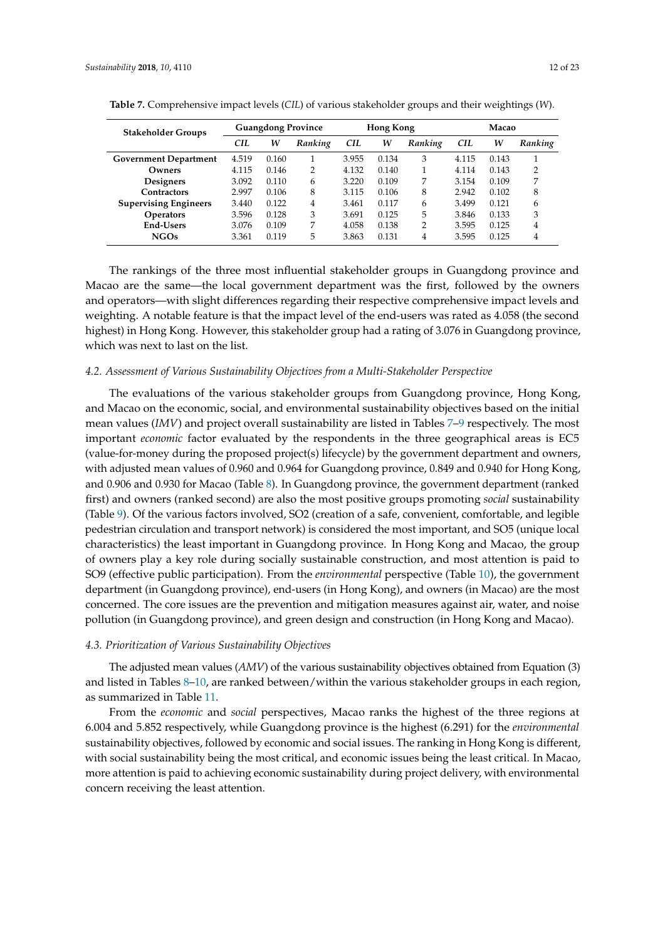| <b>Stakeholder Groups</b>    |            |       | <b>Guangdong Province</b> |       | Hong Kong |                |            | Macao |                |
|------------------------------|------------|-------|---------------------------|-------|-----------|----------------|------------|-------|----------------|
|                              | <b>CIL</b> | W     | Ranking                   | CH.   | w         | Ranking        | <b>CIL</b> | W     | Ranking        |
| <b>Government Department</b> | 4.519      | 0.160 |                           | 3.955 | 0.134     | 3              | 4.115      | 0.143 |                |
| Owners                       | 4.115      | 0.146 | っ                         | 4.132 | 0.140     | 1              | 4.114      | 0.143 | $\overline{2}$ |
| Designers                    | 3.092      | 0.110 | 6                         | 3.220 | 0.109     | 7              | 3.154      | 0.109 | 7              |
| <b>Contractors</b>           | 2.997      | 0.106 | 8                         | 3.115 | 0.106     | 8              | 2.942      | 0.102 | 8              |
| <b>Supervising Engineers</b> | 3.440      | 0.122 | 4                         | 3.461 | 0.117     | 6              | 3.499      | 0.121 | 6              |
| <b>Operators</b>             | 3.596      | 0.128 | 3                         | 3.691 | 0.125     | 5              | 3.846      | 0.133 | 3              |
| <b>End-Users</b>             | 3.076      | 0.109 | 7                         | 4.058 | 0.138     | $\overline{2}$ | 3.595      | 0.125 | 4              |
| <b>NGOs</b>                  | 3.361      | 0.119 | 5                         | 3.863 | 0.131     | 4              | 3.595      | 0.125 | 4              |

<span id="page-12-0"></span>**Table 7.** Comprehensive impact levels (*CIL*) of various stakeholder groups and their weightings (*W*).

The rankings of the three most influential stakeholder groups in Guangdong province and Macao are the same—the local government department was the first, followed by the owners and operators—with slight differences regarding their respective comprehensive impact levels and weighting. A notable feature is that the impact level of the end-users was rated as 4.058 (the second highest) in Hong Kong. However, this stakeholder group had a rating of 3.076 in Guangdong province, which was next to last on the list.

#### *4.2. Assessment of Various Sustainability Objectives from a Multi-Stakeholder Perspective*

The evaluations of the various stakeholder groups from Guangdong province, Hong Kong, and Macao on the economic, social, and environmental sustainability objectives based on the initial mean values (*IMV*) and project overall sustainability are listed in Tables [7–](#page-12-0)[9](#page-16-0) respectively. The most important *economic* factor evaluated by the respondents in the three geographical areas is EC5 (value-for-money during the proposed project(s) lifecycle) by the government department and owners, with adjusted mean values of 0.960 and 0.964 for Guangdong province, 0.849 and 0.940 for Hong Kong, and 0.906 and 0.930 for Macao (Table [8\)](#page-14-0). In Guangdong province, the government department (ranked first) and owners (ranked second) are also the most positive groups promoting *social* sustainability (Table [9\)](#page-16-0). Of the various factors involved, SO2 (creation of a safe, convenient, comfortable, and legible pedestrian circulation and transport network) is considered the most important, and SO5 (unique local characteristics) the least important in Guangdong province. In Hong Kong and Macao, the group of owners play a key role during socially sustainable construction, and most attention is paid to SO9 (effective public participation). From the *environmental* perspective (Table [10\)](#page-18-0), the government department (in Guangdong province), end-users (in Hong Kong), and owners (in Macao) are the most concerned. The core issues are the prevention and mitigation measures against air, water, and noise pollution (in Guangdong province), and green design and construction (in Hong Kong and Macao).

#### *4.3. Prioritization of Various Sustainability Objectives*

The adjusted mean values (*AMV*) of the various sustainability objectives obtained from Equation (3) and listed in Tables [8](#page-14-0)[–10,](#page-18-0) are ranked between/within the various stakeholder groups in each region, as summarized in Table [11.](#page-19-0)

From the *economic* and *social* perspectives, Macao ranks the highest of the three regions at 6.004 and 5.852 respectively, while Guangdong province is the highest (6.291) for the *environmental* sustainability objectives, followed by economic and social issues. The ranking in Hong Kong is different, with social sustainability being the most critical, and economic issues being the least critical. In Macao, more attention is paid to achieving economic sustainability during project delivery, with environmental concern receiving the least attention.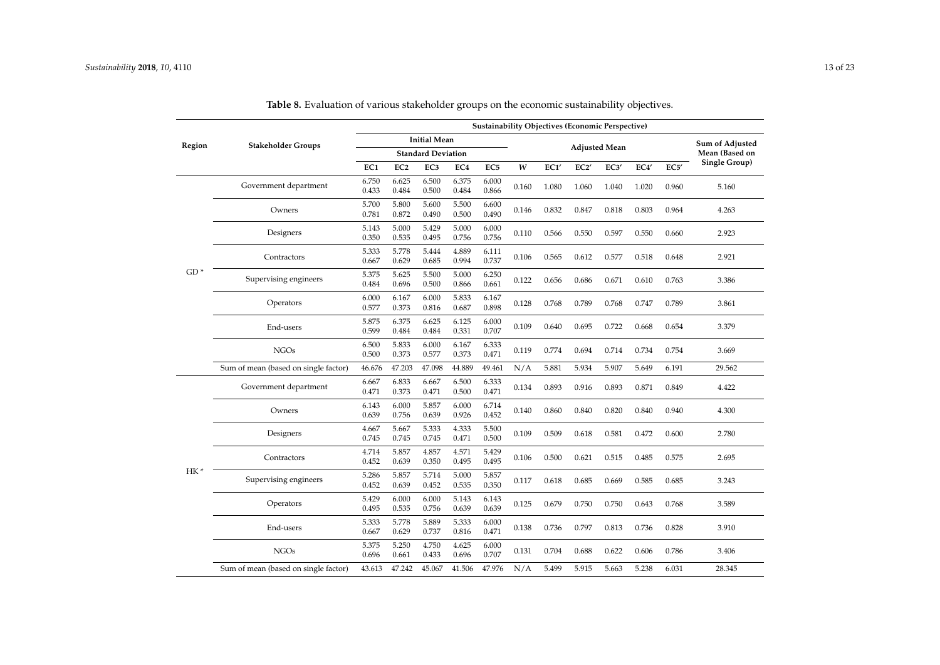|        |                                      |                |                 |                           |                 | Sustainability Objectives (Economic Perspective) |       |       |       |                      |       |       |                 |
|--------|--------------------------------------|----------------|-----------------|---------------------------|-----------------|--------------------------------------------------|-------|-------|-------|----------------------|-------|-------|-----------------|
| Region | <b>Stakeholder Groups</b>            |                |                 | <b>Initial Mean</b>       |                 |                                                  |       |       |       | <b>Adjusted Mean</b> |       |       | Sum of Adjusted |
|        |                                      |                |                 | <b>Standard Deviation</b> |                 |                                                  |       |       |       |                      |       |       | Mean (Based on  |
|        |                                      | EC1            | EC <sub>2</sub> | EC <sub>3</sub>           | EC <sub>4</sub> | EC <sub>5</sub>                                  | W     | EC1'  | EC2'  | EC3'                 | EC4   | EC5'  | Single Group)   |
|        | Government department                | 6.750<br>0.433 | 6.625<br>0.484  | 6.500<br>0.500            | 6.375<br>0.484  | 6.000<br>0.866                                   | 0.160 | 1.080 | 1.060 | 1.040                | 1.020 | 0.960 | 5.160           |
|        | Owners                               | 5.700<br>0.781 | 5.800<br>0.872  | 5.600<br>0.490            | 5.500<br>0.500  | 6.600<br>0.490                                   | 0.146 | 0.832 | 0.847 | 0.818                | 0.803 | 0.964 | 4.263           |
|        | Designers                            | 5.143<br>0.350 | 5.000<br>0.535  | 5.429<br>0.495            | 5.000<br>0.756  | 6.000<br>0.756                                   | 0.110 | 0.566 | 0.550 | 0.597                | 0.550 | 0.660 | 2.923           |
|        | Contractors                          | 5.333<br>0.667 | 5.778<br>0.629  | 5.444<br>0.685            | 4.889<br>0.994  | 6.111<br>0.737                                   | 0.106 | 0.565 | 0.612 | 0.577                | 0.518 | 0.648 | 2.921           |
| $GD*$  | Supervising engineers                | 5.375<br>0.484 | 5.625<br>0.696  | 5.500<br>0.500            | 5.000<br>0.866  | 6.250<br>0.661                                   | 0.122 | 0.656 | 0.686 | 0.671                | 0.610 | 0.763 | 3.386           |
|        | Operators                            | 6.000<br>0.577 | 6.167<br>0.373  | 6.000<br>0.816            | 5.833<br>0.687  | 6.167<br>0.898                                   | 0.128 | 0.768 | 0.789 | 0.768                | 0.747 | 0.789 | 3.861           |
|        | End-users                            | 5.875<br>0.599 | 6.375<br>0.484  | 6.625<br>0.484            | 6.125<br>0.331  | 6.000<br>0.707                                   | 0.109 | 0.640 | 0.695 | 0.722                | 0.668 | 0.654 | 3.379           |
|        | <b>NGOs</b>                          | 6.500<br>0.500 | 5.833<br>0.373  | 6.000<br>0.577            | 6.167<br>0.373  | 6.333<br>0.471                                   | 0.119 | 0.774 | 0.694 | 0.714                | 0.734 | 0.754 | 3.669           |
|        | Sum of mean (based on single factor) | 46.676         | 47.203          | 47.098                    | 44.889          | 49.461                                           | N/A   | 5.881 | 5.934 | 5.907                | 5.649 | 6.191 | 29.562          |
|        | Government department                | 6.667<br>0.471 | 6.833<br>0.373  | 6.667<br>0.471            | 6.500<br>0.500  | 6.333<br>0.471                                   | 0.134 | 0.893 | 0.916 | 0.893                | 0.871 | 0.849 | 4.422           |
|        | Owners                               | 6.143<br>0.639 | 6.000<br>0.756  | 5.857<br>0.639            | 6.000<br>0.926  | 6.714<br>0.452                                   | 0.140 | 0.860 | 0.840 | 0.820                | 0.840 | 0.940 | 4.300           |
|        | Designers                            | 4.667<br>0.745 | 5.667<br>0.745  | 5.333<br>0.745            | 4.333<br>0.471  | 5.500<br>0.500                                   | 0.109 | 0.509 | 0.618 | 0.581                | 0.472 | 0.600 | 2.780           |
|        | Contractors                          | 4.714<br>0.452 | 5.857<br>0.639  | 4.857<br>0.350            | 4.571<br>0.495  | 5.429<br>0.495                                   | 0.106 | 0.500 | 0.621 | 0.515                | 0.485 | 0.575 | 2.695           |
| $HK*$  | Supervising engineers                | 5.286<br>0.452 | 5.857<br>0.639  | 5.714<br>0.452            | 5.000<br>0.535  | 5.857<br>0.350                                   | 0.117 | 0.618 | 0.685 | 0.669                | 0.585 | 0.685 | 3.243           |
|        | Operators                            | 5.429<br>0.495 | 6.000<br>0.535  | 6.000<br>0.756            | 5.143<br>0.639  | 6.143<br>0.639                                   | 0.125 | 0.679 | 0.750 | 0.750                | 0.643 | 0.768 | 3.589           |
|        | End-users                            | 5.333<br>0.667 | 5.778<br>0.629  | 5.889<br>0.737            | 5.333<br>0.816  | 6.000<br>0.471                                   | 0.138 | 0.736 | 0.797 | 0.813                | 0.736 | 0.828 | 3.910           |
|        | <b>NGOs</b>                          | 5.375<br>0.696 | 5.250<br>0.661  | 4.750<br>0.433            | 4.625<br>0.696  | 6.000<br>0.707                                   | 0.131 | 0.704 | 0.688 | 0.622                | 0.606 | 0.786 | 3.406           |
|        | Sum of mean (based on single factor) | 43.613         | 47.242          | 45.067                    | 41.506          | 47.976                                           | N/A   | 5.499 | 5.915 | 5.663                | 5.238 | 6.031 | 28.345          |

**Table 8.** Evaluation of various stakeholder groups on the economic sustainability objectives.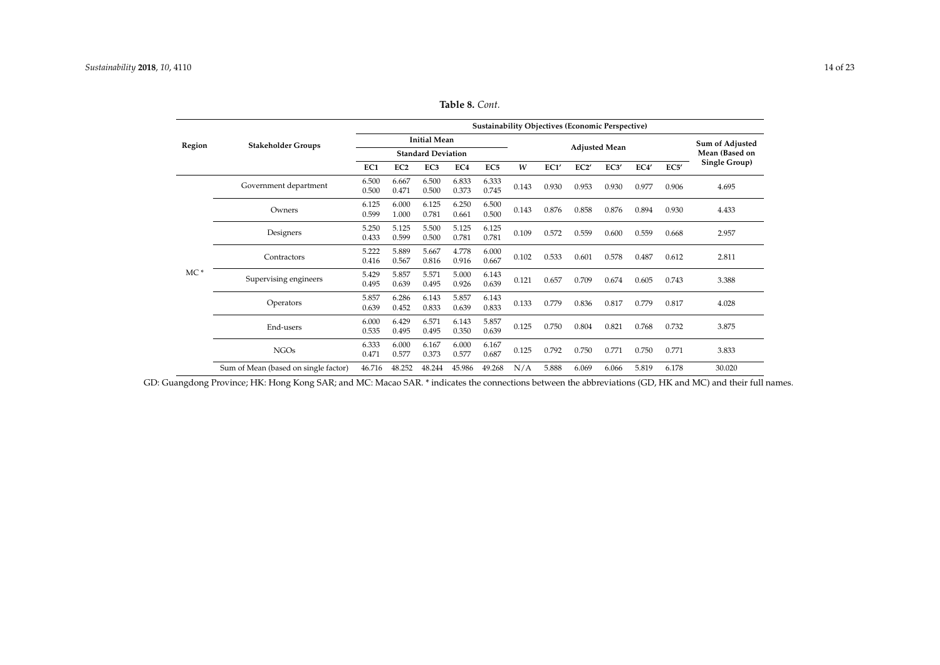|        |                                      |                |                 |                           |                |                 |       |       | <b>Sustainability Objectives (Economic Perspective)</b> |                      |       |       |                 |
|--------|--------------------------------------|----------------|-----------------|---------------------------|----------------|-----------------|-------|-------|---------------------------------------------------------|----------------------|-------|-------|-----------------|
| Region | <b>Stakeholder Groups</b>            |                |                 | <b>Initial Mean</b>       |                |                 |       |       |                                                         |                      |       |       | Sum of Adjusted |
|        |                                      |                |                 | <b>Standard Deviation</b> |                |                 |       |       |                                                         | <b>Adjusted Mean</b> |       |       | Mean (Based on  |
|        |                                      | EC1            | EC <sub>2</sub> | EC <sub>3</sub>           | EC4            | EC <sub>5</sub> | W     | EC1'  | EC2'                                                    | EC3'                 | EC4'  | EC5'  | Single Group)   |
|        | Government department                | 6.500<br>0.500 | 6.667<br>0.471  | 6.500<br>0.500            | 6.833<br>0.373 | 6.333<br>0.745  | 0.143 | 0.930 | 0.953                                                   | 0.930                | 0.977 | 0.906 | 4.695           |
|        | Owners                               | 6.125<br>0.599 | 6.000<br>1.000  | 6.125<br>0.781            | 6.250<br>0.661 | 6.500<br>0.500  | 0.143 | 0.876 | 0.858                                                   | 0.876                | 0.894 | 0.930 | 4.433           |
|        | Designers                            | 5.250<br>0.433 | 5.125<br>0.599  | 5.500<br>0.500            | 5.125<br>0.781 | 6.125<br>0.781  | 0.109 | 0.572 | 0.559                                                   | 0.600                | 0.559 | 0.668 | 2.957           |
|        | Contractors                          | 5.222<br>0.416 | 5.889<br>0.567  | 5.667<br>0.816            | 4.778<br>0.916 | 6.000<br>0.667  | 0.102 | 0.533 | 0.601                                                   | 0.578                | 0.487 | 0.612 | 2.811           |
| $MC*$  | Supervising engineers                | 5.429<br>0.495 | 5.857<br>0.639  | 5.571<br>0.495            | 5.000<br>0.926 | 6.143<br>0.639  | 0.121 | 0.657 | 0.709                                                   | 0.674                | 0.605 | 0.743 | 3.388           |
|        | Operators                            | 5.857<br>0.639 | 6.286<br>0.452  | 6.143<br>0.833            | 5.857<br>0.639 | 6.143<br>0.833  | 0.133 | 0.779 | 0.836                                                   | 0.817                | 0.779 | 0.817 | 4.028           |
|        | End-users                            | 6.000<br>0.535 | 6.429<br>0.495  | 6.571<br>0.495            | 6.143<br>0.350 | 5.857<br>0.639  | 0.125 | 0.750 | 0.804                                                   | 0.821                | 0.768 | 0.732 | 3.875           |
|        | <b>NGOs</b>                          | 6.333<br>0.471 | 6.000<br>0.577  | 6.167<br>0.373            | 6.000<br>0.577 | 6.167<br>0.687  | 0.125 | 0.792 | 0.750                                                   | 0.771                | 0.750 | 0.771 | 3.833           |
|        | Sum of Mean (based on single factor) | 46.716         | 48.252          | 48.244                    | 45.986         | 49.268          | N/A   | 5.888 | 6.069                                                   | 6.066                | 5.819 | 6.178 | 30.020          |

**Table 8.** *Cont.*

<span id="page-14-0"></span>GD: Guangdong Province; HK: Hong Kong SAR; and MC: Macao SAR. \* indicates the connections between the abbreviations (GD, HK and MC) and their full names.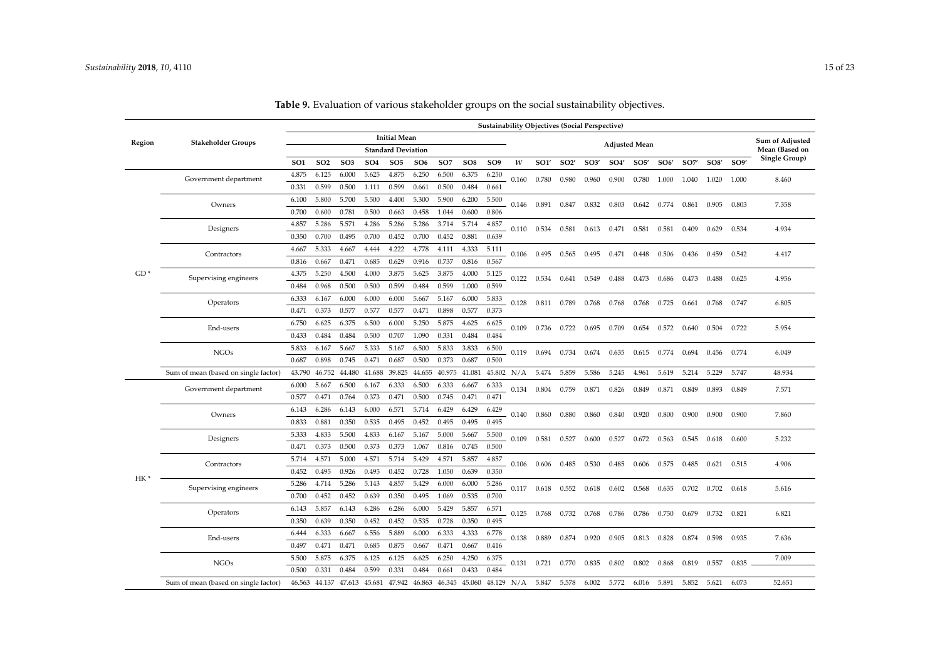|                 |                                      |                 |                 |                 |                 |                           |                 |                 |                 |                 |              |                     |                   | <b>Sustainability Objectives (Social Perspective)</b> |       |                      |       |       |       |       |                        |
|-----------------|--------------------------------------|-----------------|-----------------|-----------------|-----------------|---------------------------|-----------------|-----------------|-----------------|-----------------|--------------|---------------------|-------------------|-------------------------------------------------------|-------|----------------------|-------|-------|-------|-------|------------------------|
| Region          | <b>Stakeholder Groups</b>            |                 |                 |                 |                 | <b>Initial Mean</b>       |                 |                 |                 |                 |              |                     |                   |                                                       |       | <b>Adjusted Mean</b> |       |       |       |       | <b>Sum of Adjusted</b> |
|                 |                                      |                 |                 |                 |                 | <b>Standard Deviation</b> |                 |                 |                 |                 |              |                     |                   |                                                       |       |                      |       |       |       |       | Mean (Based on         |
|                 |                                      | SO <sub>1</sub> | SO <sub>2</sub> | SO <sub>3</sub> | SO <sub>4</sub> | SO <sub>5</sub>           | SO <sub>6</sub> | SO <sub>7</sub> | SO <sub>8</sub> | SO <sub>9</sub> | W            | SO1'                | SO <sub>2</sub> ' | SO3'                                                  | SO4'  | SO5'                 | SO6'  | SO7'  | SOS'  | SO9'  | Single Group)          |
|                 | Government department                | 4.875           | 6.125           | 6.000           | 5.625           | 4.875                     | 6.250           | 6.500           | 6.375           | 6.250           | 0.160        | 0.780               | 0.980             | 0.960                                                 | 0.900 | 0.780                | 1.000 | 1.040 | 1.020 | 1.000 | 8.460                  |
|                 |                                      | 0.331           | 0.599           | 0.500           | 1.111           | 0.599                     | 0.661           | 0.500           | 0.484           | 0.661           |              |                     |                   |                                                       |       |                      |       |       |       |       |                        |
|                 | Owners                               | 6.100           | 5.800           | 5.700           | 5.500           | 4.400                     | 5.300           | 5.900           | 6.200           | 5.500           | 0.146        | 0.891               | 0.847             | 0.832                                                 | 0.803 | 0.642                | 0.774 | 0.861 | 0.905 | 0.803 | 7.358                  |
|                 |                                      | 0.700           | 0.600           | 0.781           | 0.500           | 0.663                     | 0.458           | 1.044           | 0.600           | 0.806           |              |                     |                   |                                                       |       |                      |       |       |       |       |                        |
|                 | Designers                            | 4.857           | 5.286           | 5.571           | 4.286           | 5.286                     | 5.286           | 3.714           | 5.714           | 4.857           |              | 0.110  0.534  0.581 |                   | 0.613                                                 | 0.471 | 0.581                | 0.581 | 0.409 | 0.629 | 0.534 | 4.934                  |
|                 |                                      | 0.350           | 0.700           | 0.495           | 0.700           | 0.452                     | 0.700           | 0.452           | 0.881           | 0.639           |              |                     |                   |                                                       |       |                      |       |       |       |       |                        |
|                 | Contractors                          | 4.667           | 5.333           | 4.667           | 4.444           | 4.222                     | 4.778           | 4.111           | 4.333           | 5.111           | 0.106        | 0.495               | 0.565             | 0.495                                                 | 0.471 | 0.448                | 0.506 | 0.436 | 0.459 | 0.542 | 4.417                  |
|                 |                                      | 0.816           | 0.667           | 0.471           | 0.685           | 0.629                     | 0.916           | 0.737           | 0.816           | 0.567           |              |                     |                   |                                                       |       |                      |       |       |       |       |                        |
| $GD*$           | Supervising engineers                | 4.375           | 5.250           | 4.500           | 4.000           | 3.875                     | 5.625           | 3.875           | 4.000           | 5.125           | 0.122        | 0.534               | 0.641             | 0.549                                                 | 0.488 | 0.473                | 0.686 | 0.473 | 0.488 | 0.625 | 4.956                  |
|                 |                                      | 0.484           | 0.968           | 0.500           | 0.500           | 0.599                     | 0.484           | 0.599           | 1.000           | 0.599           |              |                     |                   |                                                       |       |                      |       |       |       |       |                        |
|                 | Operators                            | 6.333           | 6.167           | 6.000           | 6.000           | 6.000                     | 5.667           | 5.167           | 6.000           | 5.833           | 0.128        | 0.811 0.789         |                   | 0.768                                                 | 0.768 | 0.768                | 0.725 | 0.661 | 0.768 | 0.747 | 6.805                  |
|                 |                                      | 0.471           | 0.373           | 0.577           | 0.577           | 0.577                     | 0.471           | 0.898           | 0.577           | 0.373           |              |                     |                   |                                                       |       |                      |       |       |       |       |                        |
|                 | End-users                            | 6.750           | 6.625           | 6.375           | 6.500           | 6.000                     | 5.250           | 5.875           | 4.625           | 6.625           | 0.109        | 0.736               | 0.722             | 0.695                                                 | 0.709 | 0.654                | 0.572 | 0.640 | 0.504 | 0.722 | 5.954                  |
|                 |                                      | 0.433           | 0.484           | 0.484           | 0.500           | 0.707                     | 1.090           | 0.331           | 0.484           | 0.484           |              |                     |                   |                                                       |       |                      |       |       |       |       |                        |
|                 | <b>NGOs</b>                          | 5.833           | 6.167           | 5.667           | 5.333           | 5.167                     | 6.500           | 5.833           | 3.833           | 6.500           | 0.119        | 0.694               | 0.734             | 0.674                                                 | 0.635 | 0.615                | 0.774 | 0.694 | 0.456 | 0.774 | 6.049                  |
|                 |                                      | 0.687           | 0.898           | 0.745           | 0.471           | 0.687                     | 0.500           | 0.373           | 0.687           | 0.500           |              |                     |                   |                                                       |       |                      |       |       |       |       |                        |
|                 | Sum of mean (based on single factor) | 43.790          | 46.752          | 44.480          | 41.688          | 39.825                    | 44.655          | 40.975          | 41.081          |                 | 45.802 $N/A$ | 5.474               | 5.859             | 5.586                                                 | 5.245 | 4.961                | 5.619 | 5.214 | 5.229 | 5.747 | 48.934                 |
|                 | Government department                | 6.000           | 5.667           | 6.500           | 6.167           | 6.333                     | 6.500           | 6.333           | 6.667           | 6.333           | 0.134        | 0.804               | 0.759             | 0.871                                                 | 0.826 | 0.849                | 0.871 | 0.849 | 0.893 | 0.849 | 7.571                  |
|                 |                                      | 0.577           | 0.471           | 0.764           | 0.373           | 0.471                     | 0.500           | 0.745           | 0.471           | 0.471           |              |                     |                   |                                                       |       |                      |       |       |       |       |                        |
|                 | Owners                               | 6.143           | 6.286           | 6.143           | 6.000           | 6.571                     | 5.714           | 6.429           | 6.429           | 6.429           | 0.140        | 0.860               | 0.880             | 0.860                                                 | 0.840 | 0.920                | 0.800 | 0.900 | 0.900 | 0.900 | 7.860                  |
|                 |                                      | 0.833           | 0.881           | 0.350           | 0.535           | 0.495                     | 0.452           | 0.495           | 0.495           | 0.495           |              |                     |                   |                                                       |       |                      |       |       |       |       |                        |
|                 | Designers                            | 5.333           | 4.833           | 5.500           | 4.833           | 6.167                     | 5.167           | 5.000           | 5.667           | 5.500           | 0.109        | 0.581               | 0.527             | 0.600                                                 | 0.527 | 0.672                | 0.563 | 0.545 | 0.618 | 0.600 | 5.232                  |
|                 |                                      | 0.471           | 0.373           | 0.500           | 0.373           | 0.373                     | 1.067           | 0.816           | 0.745           | 0.500           |              |                     |                   |                                                       |       |                      |       |       |       |       |                        |
|                 | Contractors                          | 5.714           | 4.571           | 5.000           | 4.571           | 5.714                     | 5.429           | 4.571           | 5.857           | 4.857           | 0.106        | 0.606               | 0.485             | 0.530                                                 | 0.485 | 0.606                | 0.575 | 0.485 | 0.621 | 0.515 | 4.906                  |
| HK <sup>*</sup> |                                      | 0.452           | 0.495           | 0.926           | 0.495           | 0.452                     | 0.728           | 1.050           | 0.639           | 0.350           |              |                     |                   |                                                       |       |                      |       |       |       |       |                        |
|                 | Supervising engineers                | 5.286           | 4.714           | 5.286           | 5.143           | 4.857                     | 5.429           | 6.000           | 6.000           | 5.286           | 0.117        | 0.618               | 0.552             | 0.618                                                 | 0.602 | 0.568                | 0.635 | 0.702 | 0.702 | 0.618 | 5.616                  |
|                 |                                      | 0.700           | 0.452           | 0.452           | 0.639           | 0.350                     | 0.495           | 1.069           | 0.535           | 0.700           |              |                     |                   |                                                       |       |                      |       |       |       |       |                        |
|                 | Operators                            | 6.143           | 5.857           | 6.143           | 6.286           | 6.286                     | 6.000           | 5.429           | 5.857           | 6.571           | 0.125        | 0.768               |                   | 0.732 0.768                                           | 0.786 | 0.786                | 0.750 | 0.679 | 0.732 | 0.821 | 6.821                  |
|                 |                                      | 0.350           | 0.639           | 0.350           | 0.452           | 0.452                     | 0.535           | 0.728           | 0.350           | 0.495           |              |                     |                   |                                                       |       |                      |       |       |       |       |                        |
|                 | End-users                            | 6.444           | 6.333           | 6.667           | 6.556           | 5.889                     | 6.000           | 6.333           | 4.333           | 6.778           | 0.138        | 0.889               | 0.874             | 0.920                                                 | 0.905 | 0.813                | 0.828 | 0.874 | 0.598 | 0.935 | 7.636                  |
|                 |                                      | 0.497           | 0.471           | 0.471           | 0.685           | 0.875                     | 0.667           | 0.471           | 0.667           | 0.416           |              |                     |                   |                                                       |       |                      |       |       |       |       |                        |
|                 | <b>NGOs</b>                          | 5.500           | 5.875           | 6.375           | 6.125           | 6.125                     | 6.625           | 6.250           | 4.250           | 6.375           | 0.131        | 0.721               | 0.770             | 0.835                                                 | 0.802 | 0.802                | 0.868 | 0.819 | 0.557 | 0.835 | 7.009                  |
|                 |                                      | 0.500           | 0.331           | 0.484           | 0.599           | 0.331                     | 0.484           | 0.661           | 0.433           | 0.484           |              |                     |                   |                                                       |       |                      |       |       |       |       |                        |
|                 | Sum of mean (based on single factor) | 46.563          |                 | 44.137 47.613   | 45.681          | 47.942                    | 46.863          | 46.345          | 45.060          |                 | 48.129 N/A   | 5.847               | 5.578             | 6.002                                                 | 5.772 | 6.016                | 5.891 | 5.852 | 5.621 | 6.073 | 52.651                 |

# **Table 9.** Evaluation of various stakeholder groups on the social sustainability objectives.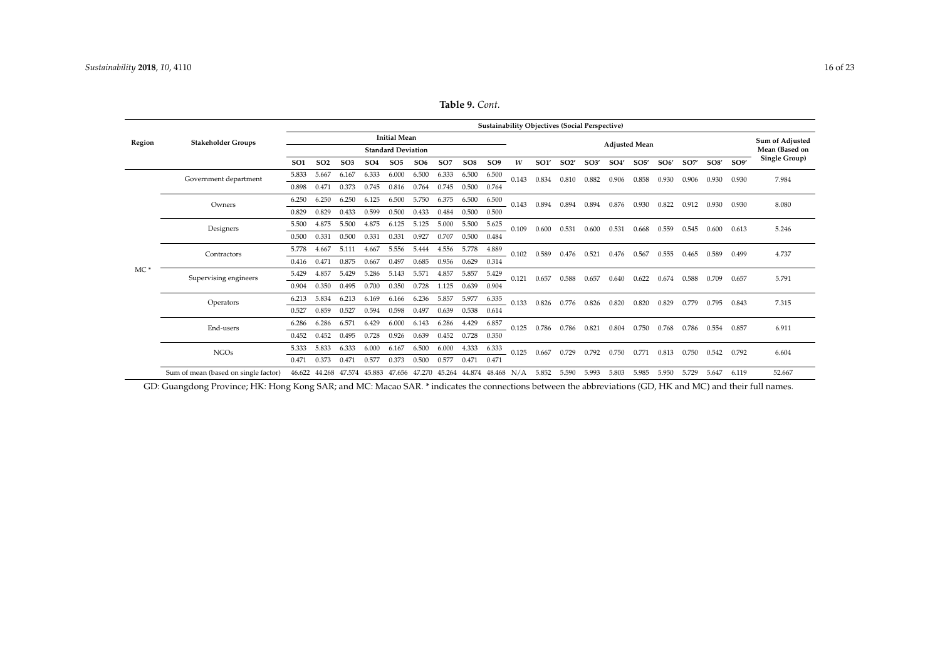|        |                                      |                 |                 |                 |                                    |                           |       |                 |                 |                          |       |       |       | <b>Sustainability Objectives (Social Perspective)</b> |                   |                      |       |       |       |       |                 |
|--------|--------------------------------------|-----------------|-----------------|-----------------|------------------------------------|---------------------------|-------|-----------------|-----------------|--------------------------|-------|-------|-------|-------------------------------------------------------|-------------------|----------------------|-------|-------|-------|-------|-----------------|
| Region | <b>Stakeholder Groups</b>            |                 |                 |                 |                                    | <b>Initial Mean</b>       |       |                 |                 |                          |       |       |       |                                                       |                   | <b>Adjusted Mean</b> |       |       |       |       | Sum of Adjusted |
|        |                                      |                 |                 |                 |                                    | <b>Standard Deviation</b> |       |                 |                 |                          |       |       |       |                                                       |                   |                      |       |       |       |       | Mean (Based on  |
|        |                                      | SO <sub>1</sub> | SO <sub>2</sub> | SO <sub>3</sub> | SO <sub>4</sub>                    | SO <sub>5</sub>           | SO6   | SO <sub>7</sub> | SO <sub>8</sub> | SO <sub>9</sub>          | W     | SO1'  | SO2'  | SO3'                                                  | SO <sub>4</sub> ' | SO5'                 | SO6'  | SO7'  | SOS'  | SO9'  | Single Group)   |
|        | Government department                | 5.833           | 5.667           | 6.167           | 6.333                              | 6.000                     | 6.500 | 6.333           | 6.500           | 6.500                    | 0.143 | 0.834 | 0.810 | 0.882                                                 | 0.906             | 0.858                | 0.930 | 0.906 | 0.930 | 0.930 | 7.984           |
|        |                                      | 0.898           | 0.471           | 0.373           | 0.745                              | 0.816                     | 0.764 | 0.745           | 0.500           | 0.764                    |       |       |       |                                                       |                   |                      |       |       |       |       |                 |
|        | Owners                               | 6.250           | 6.250           | 6.250           | 6.125                              | 6.500                     | 5.750 | 6.375           | 6.500           | 6.500                    | 0.143 | 0.894 | 0.894 | 0.894                                                 | 0.876             | 0.930                | 0.822 | 0.912 | 0.930 | 0.930 | 8.080           |
|        |                                      | 0.829           | 0.829           | 0.433           | 0.599                              | 0.500                     | 0.433 | 0.484           | 0.500           | 0.500                    |       |       |       |                                                       |                   |                      |       |       |       |       |                 |
|        | Designers                            | 5.500           | 4.875           | 5.500           | 4.875                              | 6.125                     | 5.125 | 5.000           | 5.500           | 5.625                    | 0.109 | 0.600 | 0.531 | 0.600                                                 | 0.531             | 0.668                | 0.559 | 0.545 | 0.600 | 0.613 | 5.246           |
|        |                                      | 0.500           | 0.331           | 0.500           | 0.331                              | 0.331                     | 0.927 | 0.707           | 0.500           | 0.484                    |       |       |       |                                                       |                   |                      |       |       |       |       |                 |
|        | Contractors                          | 5.778           | 4.667           | 5.111           | 4.667                              | 5.556                     | 5.444 | 4.556           | 5.778           | 4.889                    | 0.102 | 0.589 | 0.476 | 0.521                                                 | 0.476             | 0.567                | 0.555 | 0.465 | 0.589 | 0.499 | 4.737           |
|        |                                      | 0.416           | 0.471           | 0.875           | 0.667                              | 0.497                     | 0.685 | 0.956           | 0.629           | 0.314                    |       |       |       |                                                       |                   |                      |       |       |       |       |                 |
| $MC*$  | Supervising engineers                | 5.429           | 4.857           | 5.429           | 5.286                              | 5.143                     | 5.571 | 4.857           | 5.857           | 5.429                    | 0.121 | 0.657 | 0.588 | 0.657                                                 | 0.640             | 0.622                | 0.674 | 0.588 | 0.709 | 0.657 | 5.791           |
|        |                                      | 0.904           | 0.350           | 0.495           | 0.700                              | 0.350                     | 0.728 | 1.125           | 0.639           | 0.904                    |       |       |       |                                                       |                   |                      |       |       |       |       |                 |
|        | Operators                            | 6.213           | 5.834           | 6.213           | 6.169                              | 6.166                     | 6.236 | 5.857           | 5.977           | 6.335                    | 0.133 | 0.826 | 0.776 | 0.826                                                 | 0.820             | 0.820                | 0.829 | 0.779 | 0.795 | 0.843 | 7.315           |
|        |                                      | 0.527           | 0.859           | 0.527           | 0.594                              | 0.598                     | 0.497 | 0.639           | 0.538           | 0.614                    |       |       |       |                                                       |                   |                      |       |       |       |       |                 |
|        | End-users                            | 6.286           | 6.286           | 6.571           | 6.429                              | 6.000                     | 6.143 | 6.286           | 4.429           | 6.857                    | 0.125 | 0.786 | 0.786 | 0.821                                                 | 0.804             | 0.750                | 0.768 | 0.786 | 0.554 | 0.857 | 6.911           |
|        |                                      | 0.452           | 0.452           | 0.495           | 0.728                              | 0.926                     | 0.639 | 0.452           | 0.728           | 0.350                    |       |       |       |                                                       |                   |                      |       |       |       |       |                 |
|        | <b>NGOs</b>                          | 5.333           | 5.833           | 6.333           | 6.000                              | 6.167                     | 6.500 | 6.000           | 4.333           | 6.333                    | 0.125 | 0.667 | 0.729 | 0.792                                                 | 0.750             | 0.771                | 0.813 | 0.750 | 0.542 | 0.792 | 6.604           |
|        |                                      | 0.471           | 0.373           | 0.471           | 0.577                              | 0.373                     | 0.500 | 0.577           | 0.471           | 0.471                    |       |       |       |                                                       |                   |                      |       |       |       |       |                 |
|        | Sum of mean (based on single factor) | 46.622          |                 |                 | 44.268 47.574 45.883 47.656 47.270 |                           |       |                 |                 | 45.264 44.874 48.468 N/A |       | 5.852 | 5.590 | 5.993                                                 | 5.803             | 5.985                | 5.950 | 5.729 | 5.647 | 6.119 | 52.667          |

**Table 9.** *Cont.*

<span id="page-16-0"></span>GD: Guangdong Province; HK: Hong Kong SAR; and MC: Macao SAR. \* indicates the connections between the abbreviations (GD, HK and MC) and their full names.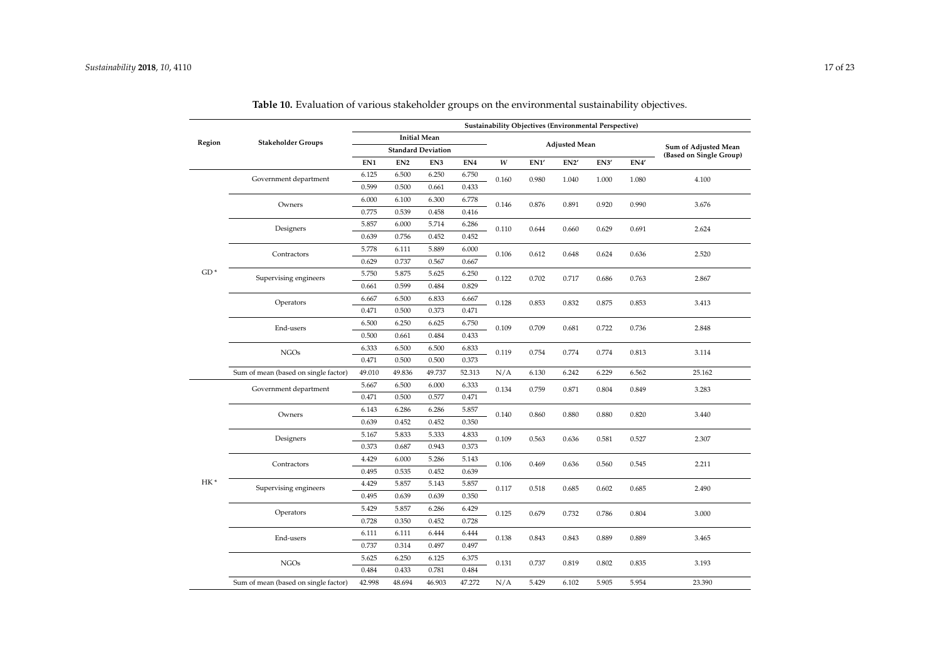|        |                                      |        |                 |                           |                 |       |       |                      | Sustainability Objectives (Environmental Perspective) |       |                                                 |
|--------|--------------------------------------|--------|-----------------|---------------------------|-----------------|-------|-------|----------------------|-------------------------------------------------------|-------|-------------------------------------------------|
| Region | <b>Stakeholder Groups</b>            |        |                 | <b>Initial Mean</b>       |                 |       |       |                      |                                                       |       |                                                 |
|        |                                      |        |                 | <b>Standard Deviation</b> |                 |       |       | <b>Adjusted Mean</b> |                                                       |       | Sum of Adjusted Mean<br>(Based on Single Group) |
|        |                                      | EN1    | EN <sub>2</sub> | EN3                       | EN <sub>4</sub> | W     | EN1   | EN <sub>2</sub>      | EN3'                                                  | EN4   |                                                 |
|        | Government department                | 6.125  | 6.500           | 6.250                     | 6.750           | 0.160 | 0.980 | 1.040                | 1.000                                                 | 1.080 | 4.100                                           |
|        |                                      | 0.599  | 0.500           | 0.661                     | 0.433           |       |       |                      |                                                       |       |                                                 |
|        | Owners                               | 6.000  | 6.100           | 6.300                     | 6.778           | 0.146 | 0.876 | 0.891                | 0.920                                                 | 0.990 | 3.676                                           |
|        |                                      | 0.775  | 0.539           | 0.458                     | 0.416           |       |       |                      |                                                       |       |                                                 |
|        | Designers                            | 5.857  | 6.000           | 5.714                     | 6.286           | 0.110 | 0.644 | 0.660                | 0.629                                                 | 0.691 | 2.624                                           |
|        |                                      | 0.639  | 0.756           | 0.452                     | 0.452           |       |       |                      |                                                       |       |                                                 |
|        | Contractors                          | 5.778  | 6.111           | 5.889                     | 6.000           | 0.106 | 0.612 | 0.648                | 0.624                                                 | 0.636 | 2.520                                           |
|        |                                      | 0.629  | 0.737           | 0.567                     | 0.667           |       |       |                      |                                                       |       |                                                 |
| $GD*$  | Supervising engineers                | 5.750  | 5.875           | 5.625                     | 6.250           | 0.122 | 0.702 | 0.717                | 0.686                                                 | 0.763 | 2.867                                           |
|        |                                      | 0.661  | 0.599           | 0.484                     | 0.829           |       |       |                      |                                                       |       |                                                 |
|        | Operators                            | 6.667  | 6.500           | 6.833                     | 6.667           | 0.128 | 0.853 | 0.832                | 0.875                                                 | 0.853 | 3.413                                           |
|        |                                      | 0.471  | 0.500           | 0.373                     | 0.471           |       |       |                      |                                                       |       |                                                 |
|        | End-users                            | 6.500  | 6.250           | 6.625                     | 6.750           | 0.109 | 0.709 | 0.681                | 0.722                                                 | 0.736 | 2.848                                           |
|        |                                      | 0.500  | 0.661           | 0.484                     | 0.433           |       |       |                      |                                                       |       |                                                 |
|        | <b>NGOs</b>                          | 6.333  | 6.500           | 6.500                     | 6.833           | 0.119 | 0.754 | 0.774                | 0.774                                                 | 0.813 | 3.114                                           |
|        |                                      | 0.471  | 0.500           | 0.500                     | 0.373           |       |       |                      |                                                       |       |                                                 |
|        | Sum of mean (based on single factor) | 49.010 | 49.836          | 49.737                    | 52.313          | N/A   | 6.130 | 6.242                | 6.229                                                 | 6.562 | 25.162                                          |
|        | Government department                | 5.667  | 6.500           | 6.000                     | 6.333           | 0.134 | 0.759 | 0.871                | 0.804                                                 | 0.849 | 3.283                                           |
|        |                                      | 0.471  | 0.500           | 0.577                     | 0.471           |       |       |                      |                                                       |       |                                                 |
|        | Owners                               | 6.143  | 6.286           | 6.286                     | 5.857           | 0.140 | 0.860 | 0.880                | 0.880                                                 | 0.820 | 3.440                                           |
|        |                                      | 0.639  | 0.452           | 0.452                     | 0.350           |       |       |                      |                                                       |       |                                                 |
|        | Designers                            | 5.167  | 5.833           | 5.333                     | 4.833           | 0.109 | 0.563 | 0.636                | 0.581                                                 | 0.527 | 2.307                                           |
|        |                                      | 0.373  | 0.687           | 0.943                     | 0.373           |       |       |                      |                                                       |       |                                                 |
|        | Contractors                          | 4.429  | 6.000           | 5.286                     | 5.143           | 0.106 | 0.469 | 0.636                | 0.560                                                 | 0.545 | 2.211                                           |
|        |                                      | 0.495  | 0.535           | 0.452                     | 0.639           |       |       |                      |                                                       |       |                                                 |
| HK*    | Supervising engineers                | 4.429  | 5.857           | 5.143                     | 5.857           | 0.117 | 0.518 | 0.685                | 0.602                                                 | 0.685 | 2.490                                           |
|        |                                      | 0.495  | 0.639           | 0.639                     | 0.350           |       |       |                      |                                                       |       |                                                 |
|        | Operators                            | 5.429  | 5.857           | 6.286                     | 6.429           | 0.125 | 0.679 | 0.732                | 0.786                                                 | 0.804 | 3.000                                           |
|        |                                      | 0.728  | 0.350           | 0.452                     | 0.728           |       |       |                      |                                                       |       |                                                 |
|        | End-users                            | 6.111  | 6.111           | 6.444                     | 6.444           | 0.138 | 0.843 | 0.843                | 0.889                                                 | 0.889 | 3.465                                           |
|        |                                      | 0.737  | 0.314           | 0.497                     | 0.497           |       |       |                      |                                                       |       |                                                 |
|        | <b>NGOs</b>                          | 5.625  | 6.250           | 6.125                     | 6.375           | 0.131 | 0.737 | 0.819                | 0.802                                                 | 0.835 | 3.193                                           |
|        |                                      | 0.484  | 0.433           | 0.781                     | 0.484           |       |       |                      |                                                       |       |                                                 |
|        | Sum of mean (based on single factor) | 42.998 | 48.694          | 46.903                    | 47.272          | N/A   | 5.429 | 6.102                | 5.905                                                 | 5.954 | 23.390                                          |

| <b>Table 10.</b> Evaluation of various stakeholder groups on the environmental sustainability objectives. |
|-----------------------------------------------------------------------------------------------------------|
|-----------------------------------------------------------------------------------------------------------|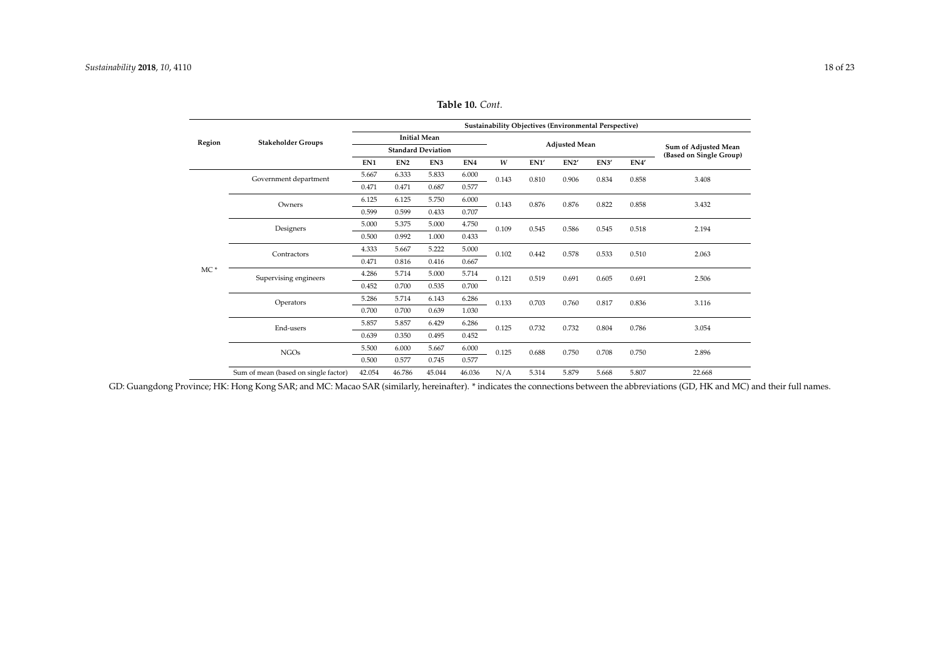|        |                                      | Sustainability Objectives (Environmental Perspective) |                 |                           |                 |       |                      |                                                 |       |       |        |  |
|--------|--------------------------------------|-------------------------------------------------------|-----------------|---------------------------|-----------------|-------|----------------------|-------------------------------------------------|-------|-------|--------|--|
| Region | <b>Stakeholder Groups</b>            |                                                       |                 | <b>Initial Mean</b>       |                 |       | <b>Adjusted Mean</b> |                                                 |       |       |        |  |
|        |                                      |                                                       |                 | <b>Standard Deviation</b> |                 |       |                      | Sum of Adjusted Mean<br>(Based on Single Group) |       |       |        |  |
|        |                                      | EN1                                                   | EN <sub>2</sub> | EN3                       | EN <sub>4</sub> | W     | EN1'                 | EN2'                                            | EN3'  | EN4   |        |  |
|        | Government department                | 5.667                                                 | 6.333           | 5.833                     | 6.000           | 0.143 | 0.810                | 0.906                                           | 0.834 | 0.858 | 3.408  |  |
|        |                                      | 0.471                                                 | 0.471           | 0.687                     | 0.577           |       |                      |                                                 |       |       |        |  |
|        | Owners                               | 6.125                                                 | 6.125           | 5.750                     | 6.000           | 0.143 | 0.876                | 0.876                                           | 0.822 | 0.858 | 3.432  |  |
|        |                                      | 0.599                                                 | 0.599           | 0.433                     | 0.707           |       |                      |                                                 |       |       |        |  |
|        | Designers                            | 5.000                                                 | 5.375           | 5.000                     | 4.750           | 0.109 | 0.545                | 0.586                                           | 0.545 | 0.518 | 2.194  |  |
|        |                                      | 0.500                                                 | 0.992           | 1.000                     | 0.433           |       |                      |                                                 |       |       |        |  |
|        | Contractors                          | 4.333                                                 | 5.667           | 5.222                     | 5.000           | 0.102 | 0.442                | 0.578                                           | 0.533 | 0.510 | 2.063  |  |
|        |                                      | 0.471                                                 | 0.816           | 0.416                     | 0.667           |       |                      |                                                 |       |       |        |  |
| $MC*$  | Supervising engineers                | 4.286                                                 | 5.714           | 5.000                     | 5.714           | 0.121 | 0.519                | 0.691                                           | 0.605 | 0.691 | 2.506  |  |
|        |                                      | 0.452                                                 | 0.700           | 0.535                     | 0.700           |       |                      |                                                 |       |       |        |  |
|        | Operators                            | 5.286                                                 | 5.714           | 6.143                     | 6.286           | 0.133 | 0.703                | 0.760                                           | 0.817 | 0.836 | 3.116  |  |
|        |                                      | 0.700                                                 | 0.700           | 0.639                     | 1.030           |       |                      |                                                 |       |       |        |  |
|        | End-users                            | 5.857                                                 | 5.857           | 6.429                     | 6.286           | 0.125 | 0.732                | 0.732                                           | 0.804 | 0.786 | 3.054  |  |
|        |                                      | 0.639                                                 | 0.350           | 0.495                     | 0.452           |       |                      |                                                 |       |       |        |  |
|        | <b>NGOs</b>                          | 5.500                                                 | 6.000           | 5.667                     | 6.000           | 0.125 | 0.688                | 0.750                                           | 0.708 | 0.750 | 2.896  |  |
|        |                                      | 0.500                                                 | 0.577           | 0.745                     | 0.577           |       |                      |                                                 |       |       |        |  |
|        | Sum of mean (based on single factor) | 42.054                                                | 46.786          | 45.044                    | 46.036          | N/A   | 5.314                | 5.879                                           | 5.668 | 5.807 | 22.668 |  |

**Table 10.** *Cont.*

<span id="page-18-0"></span>GD: Guangdong Province; HK: Hong Kong SAR; and MC: Macao SAR (similarly, hereinafter). \* indicates the connections between the abbreviations (GD, HK and MC) and their full names.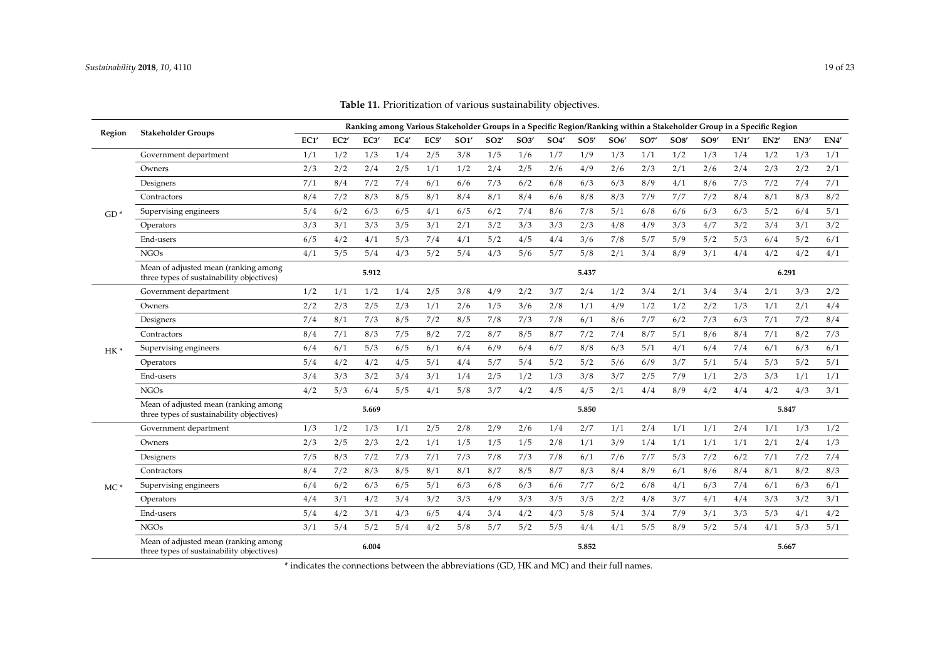| <b>Table 11.</b> Prioritization of various sustainability objectives. |  |
|-----------------------------------------------------------------------|--|
|-----------------------------------------------------------------------|--|

<span id="page-19-0"></span>

| Region | <b>Stakeholder Groups</b>                                                         | Ranking among Various Stakeholder Groups in a Specific Region/Ranking within a Stakeholder Group in a Specific Region |      |       |      |     |      |      |                 |                   |       |      |            |                 |                 |      |      |       |      |
|--------|-----------------------------------------------------------------------------------|-----------------------------------------------------------------------------------------------------------------------|------|-------|------|-----|------|------|-----------------|-------------------|-------|------|------------|-----------------|-----------------|------|------|-------|------|
|        |                                                                                   | EC1'                                                                                                                  | EC2' | EC3'  | EC4' | EC5 | SO1' | SO2' | SO <sub>3</sub> | SO <sub>4</sub> ' | SO5'  | SO6' | <b>SO7</b> | SO <sub>8</sub> | SO <sub>9</sub> | EN1' | EN2' | EN3'  | EN4' |
|        | Government department                                                             | 1/1                                                                                                                   | 1/2  | 1/3   | 1/4  | 2/5 | 3/8  | 1/5  | 1/6             | 1/7               | 1/9   | 1/3  | 1/1        | 1/2             | 1/3             | 1/4  | 1/2  | 1/3   | 1/1  |
|        | Owners                                                                            | 2/3                                                                                                                   | 2/2  | 2/4   | 2/5  | 1/1 | 1/2  | 2/4  | 2/5             | 2/6               | 4/9   | 2/6  | 2/3        | 2/1             | 2/6             | 2/4  | 2/3  | 2/2   | 2/1  |
| $GD*$  | Designers                                                                         | 7/1                                                                                                                   | 8/4  | 7/2   | 7/4  | 6/1 | 6/6  | 7/3  | 6/2             | 6/8               | 6/3   | 6/3  | 8/9        | 4/1             | 8/6             | 7/3  | 7/2  | 7/4   | 7/1  |
|        | Contractors                                                                       | 8/4                                                                                                                   | 7/2  | 8/3   | 8/5  | 8/1 | 8/4  | 8/1  | 8/4             | 6/6               | 8/8   | 8/3  | 7/9        | 7/7             | 7/2             | 8/4  | 8/1  | 8/3   | 8/2  |
|        | Supervising engineers                                                             | 5/4                                                                                                                   | 6/2  | 6/3   | 6/5  | 4/1 | 6/5  | 6/2  | 7/4             | 8/6               | 7/8   | 5/1  | 6/8        | 6/6             | 6/3             | 6/3  | 5/2  | 6/4   | 5/1  |
|        | Operators                                                                         | 3/3                                                                                                                   | 3/1  | 3/3   | 3/5  | 3/1 | 2/1  | 3/2  | 3/3             | 3/3               | 2/3   | 4/8  | 4/9        | 3/3             | 4/7             | 3/2  | 3/4  | 3/1   | 3/2  |
|        | End-users                                                                         | 6/5                                                                                                                   | 4/2  | 4/1   | 5/3  | 7/4 | 4/1  | 5/2  | 4/5             | 4/4               | 3/6   | 7/8  | 5/7        | 5/9             | 5/2             | 5/3  | 6/4  | 5/2   | 6/1  |
|        | <b>NGOs</b>                                                                       | 4/1                                                                                                                   | 5/5  | 5/4   | 4/3  | 5/2 | 5/4  | 4/3  | 5/6             | 5/7               | 5/8   | 2/1  | 3/4        | 8/9             | 3/1             | 4/4  | 4/2  | 4/2   | 4/1  |
|        | Mean of adjusted mean (ranking among<br>three types of sustainability objectives) |                                                                                                                       |      | 5.912 |      |     |      |      |                 |                   | 5.437 |      |            |                 |                 |      |      | 6.291 |      |
|        | Government department                                                             | 1/2                                                                                                                   | 1/1  | 1/2   | 1/4  | 2/5 | 3/8  | 4/9  | 2/2             | 3/7               | 2/4   | 1/2  | 3/4        | 2/1             | 3/4             | 3/4  | 2/1  | 3/3   | 2/2  |
|        | Owners                                                                            | 2/2                                                                                                                   | 2/3  | 2/5   | 2/3  | 1/1 | 2/6  | 1/5  | 3/6             | 2/8               | 1/1   | 4/9  | 1/2        | 1/2             | 2/2             | 1/3  | 1/1  | 2/1   | 4/4  |
|        | Designers                                                                         | 7/4                                                                                                                   | 8/1  | 7/3   | 8/5  | 7/2 | 8/5  | 7/8  | 7/3             | 7/8               | 6/1   | 8/6  | 7/7        | 6/2             | 7/3             | 6/3  | 7/1  | 7/2   | 8/4  |
|        | Contractors                                                                       | 8/4                                                                                                                   | 7/1  | 8/3   | 7/5  | 8/2 | 7/2  | 8/7  | 8/5             | 8/7               | 7/2   | 7/4  | 8/7        | 5/1             | 8/6             | 8/4  | 7/1  | 8/2   | 7/3  |
| $HK*$  | Supervising engineers                                                             | 6/4                                                                                                                   | 6/1  | 5/3   | 6/5  | 6/1 | 6/4  | 6/9  | 6/4             | 6/7               | 8/8   | 6/3  | 5/1        | 4/1             | 6/4             | 7/4  | 6/1  | 6/3   | 6/1  |
|        | Operators                                                                         | 5/4                                                                                                                   | 4/2  | 4/2   | 4/5  | 5/1 | 4/4  | 5/7  | 5/4             | 5/2               | 5/2   | 5/6  | 6/9        | 3/7             | 5/1             | 5/4  | 5/3  | 5/2   | 5/1  |
|        | End-users                                                                         | 3/4                                                                                                                   | 3/3  | 3/2   | 3/4  | 3/1 | 1/4  | 2/5  | 1/2             | 1/3               | 3/8   | 3/7  | 2/5        | 7/9             | 1/1             | 2/3  | 3/3  | 1/1   | 1/1  |
|        | <b>NGOs</b>                                                                       | 4/2                                                                                                                   | 5/3  | 6/4   | 5/5  | 4/1 | 5/8  | 3/7  | 4/2             | 4/5               | 4/5   | 2/1  | 4/4        | 8/9             | 4/2             | 4/4  | 4/2  | 4/3   | 3/1  |
|        | Mean of adjusted mean (ranking among<br>three types of sustainability objectives) |                                                                                                                       |      | 5.669 |      |     |      |      |                 |                   | 5.850 |      |            |                 |                 |      |      | 5.847 |      |
|        | Government department                                                             | 1/3                                                                                                                   | 1/2  | 1/3   | 1/1  | 2/5 | 2/8  | 2/9  | 2/6             | 1/4               | 2/7   | 1/1  | 2/4        | 1/1             | 1/1             | 2/4  | 1/1  | 1/3   | 1/2  |
|        | Owners                                                                            | 2/3                                                                                                                   | 2/5  | 2/3   | 2/2  | 1/1 | 1/5  | 1/5  | 1/5             | 2/8               | 1/1   | 3/9  | 1/4        | 1/1             | 1/1             | 1/1  | 2/1  | 2/4   | 1/3  |
|        | Designers                                                                         | 7/5                                                                                                                   | 8/3  | 7/2   | 7/3  | 7/1 | 7/3  | 7/8  | 7/3             | 7/8               | 6/1   | 7/6  | 7/7        | 5/3             | 7/2             | 6/2  | 7/1  | 7/2   | 7/4  |
|        | Contractors                                                                       | 8/4                                                                                                                   | 7/2  | 8/3   | 8/5  | 8/1 | 8/1  | 8/7  | 8/5             | 8/7               | 8/3   | 8/4  | 8/9        | 6/1             | 8/6             | 8/4  | 8/1  | 8/2   | 8/3  |
| $MC*$  | Supervising engineers                                                             | 6/4                                                                                                                   | 6/2  | 6/3   | 6/5  | 5/1 | 6/3  | 6/8  | 6/3             | 6/6               | 7/7   | 6/2  | 6/8        | 4/1             | 6/3             | 7/4  | 6/1  | 6/3   | 6/1  |
|        | Operators                                                                         | 4/4                                                                                                                   | 3/1  | 4/2   | 3/4  | 3/2 | 3/3  | 4/9  | 3/3             | 3/5               | 3/5   | 2/2  | 4/8        | 3/7             | 4/1             | 4/4  | 3/3  | 3/2   | 3/1  |
|        | End-users                                                                         | 5/4                                                                                                                   | 4/2  | 3/1   | 4/3  | 6/5 | 4/4  | 3/4  | 4/2             | 4/3               | 5/8   | 5/4  | 3/4        | 7/9             | 3/1             | 3/3  | 5/3  | 4/1   | 4/2  |
|        | <b>NGOs</b>                                                                       | 3/1                                                                                                                   | 5/4  | 5/2   | 5/4  | 4/2 | 5/8  | 5/7  | 5/2             | 5/5               | 4/4   | 4/1  | 5/5        | 8/9             | 5/2             | 5/4  | 4/1  | 5/3   | 5/1  |
|        | Mean of adjusted mean (ranking among<br>three types of sustainability objectives) |                                                                                                                       |      | 6.004 |      |     |      |      |                 |                   | 5.852 |      |            |                 |                 |      |      | 5.667 |      |

\* indicates the connections between the abbreviations (GD, HK and MC) and their full names.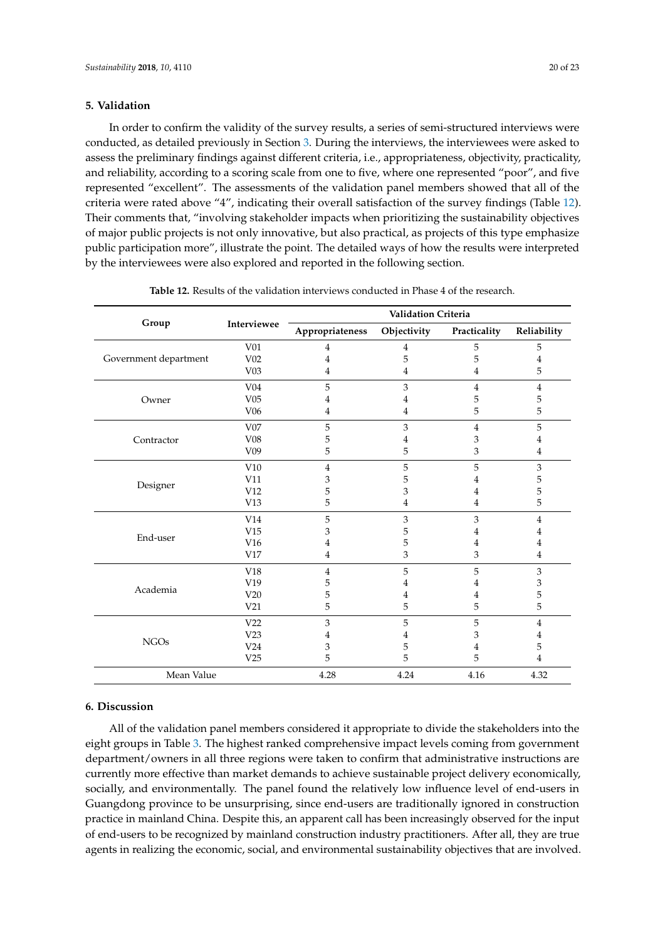#### **5. Validation**

In order to confirm the validity of the survey results, a series of semi-structured interviews were conducted, as detailed previously in Section [3.](#page-5-1) During the interviews, the interviewees were asked to assess the preliminary findings against different criteria, i.e., appropriateness, objectivity, practicality, and reliability, according to a scoring scale from one to five, where one represented "poor", and five represented "excellent". The assessments of the validation panel members showed that all of the criteria were rated above "4", indicating their overall satisfaction of the survey findings (Table [12\)](#page-20-0). Their comments that, "involving stakeholder impacts when prioritizing the sustainability objectives of major public projects is not only innovative, but also practical, as projects of this type emphasize public participation more", illustrate the point. The detailed ways of how the results were interpreted by the interviewees were also explored and reported in the following section.

<span id="page-20-0"></span>

|                       |                 | Validation Criteria |             |                                                        |                |  |  |  |  |  |  |
|-----------------------|-----------------|---------------------|-------------|--------------------------------------------------------|----------------|--|--|--|--|--|--|
| Group                 | Interviewee     | Appropriateness     | Objectivity | Practicality                                           | Reliability    |  |  |  |  |  |  |
|                       | V <sub>01</sub> | 4                   | 4           | 5                                                      | 5              |  |  |  |  |  |  |
| Government department | V02             | 4                   | 5           | 5                                                      | 4              |  |  |  |  |  |  |
|                       | V <sub>03</sub> | 4                   | 4           | 4                                                      | 5              |  |  |  |  |  |  |
|                       | V <sub>04</sub> | 5                   | 3           | $\overline{4}$                                         | $\overline{4}$ |  |  |  |  |  |  |
| Owner                 | V05             | 4                   | 4           | 5                                                      | 5              |  |  |  |  |  |  |
|                       | V <sub>06</sub> | 4                   | 4           | 5                                                      | 5              |  |  |  |  |  |  |
|                       | V07             | 5                   | 3           | $\overline{4}$                                         | 5              |  |  |  |  |  |  |
| Contractor            | V08             | 5                   | 4           | 3                                                      | 4              |  |  |  |  |  |  |
|                       | V <sub>09</sub> | 5                   | 5           | 4                                                      |                |  |  |  |  |  |  |
|                       | V10             | $\overline{4}$      | 5           | 5                                                      | 3              |  |  |  |  |  |  |
| Designer              | V11             | 3                   | 5           | 4                                                      | 5              |  |  |  |  |  |  |
|                       | V12             | 5                   | 3           | 4                                                      | 5              |  |  |  |  |  |  |
|                       | V13             | 5                   | 4           | 4                                                      | 5              |  |  |  |  |  |  |
|                       | V14             | 5                   | 3           | 3                                                      | 4              |  |  |  |  |  |  |
| End-user              | V15             | 3                   | 5           | 4                                                      | 4              |  |  |  |  |  |  |
|                       | V16             | 4                   | 5           | 4                                                      | 4              |  |  |  |  |  |  |
|                       | V17             | 4                   | 3           | 3<br>3<br>5<br>4<br>4<br>5<br>5<br>3<br>4<br>5<br>4.16 | 4              |  |  |  |  |  |  |
|                       | V18             | $\overline{4}$      | 5           |                                                        | 3              |  |  |  |  |  |  |
|                       | V <sub>19</sub> | 5                   | 4           |                                                        | 3              |  |  |  |  |  |  |
| Academia              | V20             | 5                   | 4           |                                                        | 5              |  |  |  |  |  |  |
|                       | V <sub>21</sub> | 5                   | 5           |                                                        | 5              |  |  |  |  |  |  |
|                       | V <sub>22</sub> | 3                   | 5           |                                                        | $\overline{4}$ |  |  |  |  |  |  |
|                       | V23             | 4                   | 4           |                                                        | 4              |  |  |  |  |  |  |
| <b>NGOs</b>           | V <sub>24</sub> | 3                   | 5           |                                                        | 5              |  |  |  |  |  |  |
|                       | V <sub>25</sub> | 5                   | 5           |                                                        | 4              |  |  |  |  |  |  |
| Mean Value            |                 | 4.28                | 4.24        |                                                        | 4.32           |  |  |  |  |  |  |

**Table 12.** Results of the validation interviews conducted in Phase 4 of the research.

# **6. Discussion**

All of the validation panel members considered it appropriate to divide the stakeholders into the eight groups in Table [3.](#page-8-0) The highest ranked comprehensive impact levels coming from government department/owners in all three regions were taken to confirm that administrative instructions are currently more effective than market demands to achieve sustainable project delivery economically, socially, and environmentally. The panel found the relatively low influence level of end-users in Guangdong province to be unsurprising, since end-users are traditionally ignored in construction practice in mainland China. Despite this, an apparent call has been increasingly observed for the input of end-users to be recognized by mainland construction industry practitioners. After all, they are true agents in realizing the economic, social, and environmental sustainability objectives that are involved.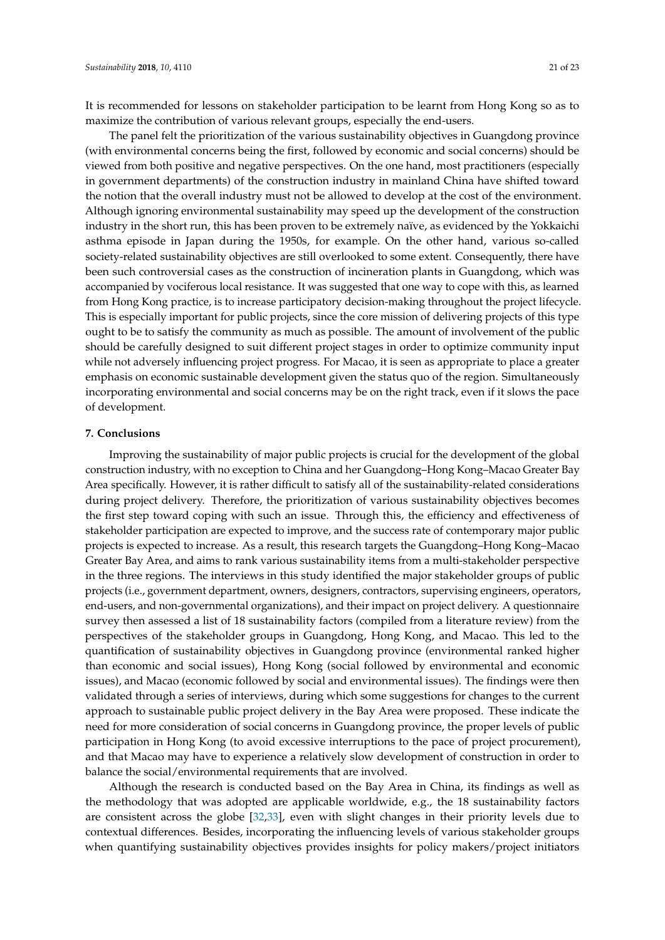It is recommended for lessons on stakeholder participation to be learnt from Hong Kong so as to maximize the contribution of various relevant groups, especially the end-users.

The panel felt the prioritization of the various sustainability objectives in Guangdong province (with environmental concerns being the first, followed by economic and social concerns) should be viewed from both positive and negative perspectives. On the one hand, most practitioners (especially in government departments) of the construction industry in mainland China have shifted toward the notion that the overall industry must not be allowed to develop at the cost of the environment. Although ignoring environmental sustainability may speed up the development of the construction industry in the short run, this has been proven to be extremely naïve, as evidenced by the Yokkaichi asthma episode in Japan during the 1950s, for example. On the other hand, various so-called society-related sustainability objectives are still overlooked to some extent. Consequently, there have been such controversial cases as the construction of incineration plants in Guangdong, which was accompanied by vociferous local resistance. It was suggested that one way to cope with this, as learned from Hong Kong practice, is to increase participatory decision-making throughout the project lifecycle. This is especially important for public projects, since the core mission of delivering projects of this type ought to be to satisfy the community as much as possible. The amount of involvement of the public should be carefully designed to suit different project stages in order to optimize community input while not adversely influencing project progress. For Macao, it is seen as appropriate to place a greater emphasis on economic sustainable development given the status quo of the region. Simultaneously incorporating environmental and social concerns may be on the right track, even if it slows the pace of development.

## **7. Conclusions**

Improving the sustainability of major public projects is crucial for the development of the global construction industry, with no exception to China and her Guangdong–Hong Kong–Macao Greater Bay Area specifically. However, it is rather difficult to satisfy all of the sustainability-related considerations during project delivery. Therefore, the prioritization of various sustainability objectives becomes the first step toward coping with such an issue. Through this, the efficiency and effectiveness of stakeholder participation are expected to improve, and the success rate of contemporary major public projects is expected to increase. As a result, this research targets the Guangdong–Hong Kong–Macao Greater Bay Area, and aims to rank various sustainability items from a multi-stakeholder perspective in the three regions. The interviews in this study identified the major stakeholder groups of public projects (i.e., government department, owners, designers, contractors, supervising engineers, operators, end-users, and non-governmental organizations), and their impact on project delivery. A questionnaire survey then assessed a list of 18 sustainability factors (compiled from a literature review) from the perspectives of the stakeholder groups in Guangdong, Hong Kong, and Macao. This led to the quantification of sustainability objectives in Guangdong province (environmental ranked higher than economic and social issues), Hong Kong (social followed by environmental and economic issues), and Macao (economic followed by social and environmental issues). The findings were then validated through a series of interviews, during which some suggestions for changes to the current approach to sustainable public project delivery in the Bay Area were proposed. These indicate the need for more consideration of social concerns in Guangdong province, the proper levels of public participation in Hong Kong (to avoid excessive interruptions to the pace of project procurement), and that Macao may have to experience a relatively slow development of construction in order to balance the social/environmental requirements that are involved.

Although the research is conducted based on the Bay Area in China, its findings as well as the methodology that was adopted are applicable worldwide, e.g., the 18 sustainability factors are consistent across the globe [\[32,](#page-23-17)[33\]](#page-23-18), even with slight changes in their priority levels due to contextual differences. Besides, incorporating the influencing levels of various stakeholder groups when quantifying sustainability objectives provides insights for policy makers/project initiators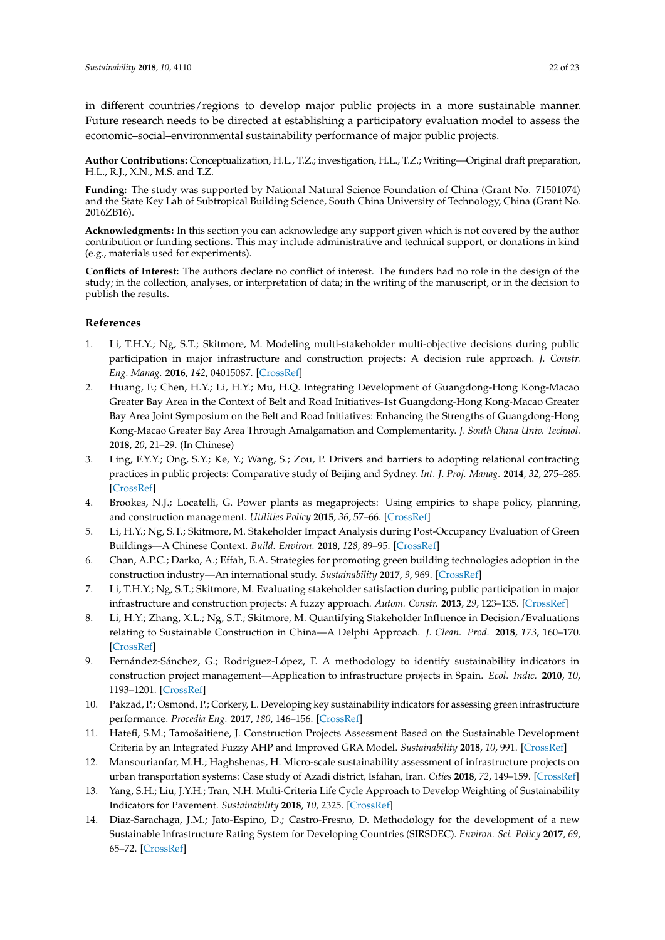in different countries/regions to develop major public projects in a more sustainable manner. Future research needs to be directed at establishing a participatory evaluation model to assess the economic–social–environmental sustainability performance of major public projects.

**Author Contributions:** Conceptualization, H.L., T.Z.; investigation, H.L., T.Z.; Writing—Original draft preparation, H.L., R.J., X.N., M.S. and T.Z.

**Funding:** The study was supported by National Natural Science Foundation of China (Grant No. 71501074) and the State Key Lab of Subtropical Building Science, South China University of Technology, China (Grant No. 2016ZB16).

**Acknowledgments:** In this section you can acknowledge any support given which is not covered by the author contribution or funding sections. This may include administrative and technical support, or donations in kind (e.g., materials used for experiments).

**Conflicts of Interest:** The authors declare no conflict of interest. The funders had no role in the design of the study; in the collection, analyses, or interpretation of data; in the writing of the manuscript, or in the decision to publish the results.

## **References**

- <span id="page-22-14"></span><span id="page-22-0"></span>1. Li, T.H.Y.; Ng, S.T.; Skitmore, M. Modeling multi-stakeholder multi-objective decisions during public participation in major infrastructure and construction projects: A decision rule approach. *J. Constr. Eng. Manag.* **2016**, *142*, 04015087. [\[CrossRef\]](http://dx.doi.org/10.1061/(ASCE)CO.1943-7862.0001066)
- <span id="page-22-1"></span>2. Huang, F.; Chen, H.Y.; Li, H.Y.; Mu, H.Q. Integrating Development of Guangdong-Hong Kong-Macao Greater Bay Area in the Context of Belt and Road Initiatives-1st Guangdong-Hong Kong-Macao Greater Bay Area Joint Symposium on the Belt and Road Initiatives: Enhancing the Strengths of Guangdong-Hong Kong-Macao Greater Bay Area Through Amalgamation and Complementarity. *J. South China Univ. Technol.* **2018**, *20*, 21–29. (In Chinese)
- <span id="page-22-2"></span>3. Ling, F.Y.Y.; Ong, S.Y.; Ke, Y.; Wang, S.; Zou, P. Drivers and barriers to adopting relational contracting practices in public projects: Comparative study of Beijing and Sydney. *Int. J. Proj. Manag.* **2014**, *32*, 275–285. [\[CrossRef\]](http://dx.doi.org/10.1016/j.ijproman.2013.04.008)
- <span id="page-22-3"></span>4. Brookes, N.J.; Locatelli, G. Power plants as megaprojects: Using empirics to shape policy, planning, and construction management. *Utilities Policy* **2015**, *36*, 57–66. [\[CrossRef\]](http://dx.doi.org/10.1016/j.jup.2015.09.005)
- <span id="page-22-4"></span>5. Li, H.Y.; Ng, S.T.; Skitmore, M. Stakeholder Impact Analysis during Post-Occupancy Evaluation of Green Buildings—A Chinese Context. *Build. Environ.* **2018**, *128*, 89–95. [\[CrossRef\]](http://dx.doi.org/10.1016/j.buildenv.2017.11.014)
- <span id="page-22-5"></span>6. Chan, A.P.C.; Darko, A.; Effah, E.A. Strategies for promoting green building technologies adoption in the construction industry—An international study. *Sustainability* **2017**, *9*, 969. [\[CrossRef\]](http://dx.doi.org/10.3390/su9060969)
- <span id="page-22-6"></span>7. Li, T.H.Y.; Ng, S.T.; Skitmore, M. Evaluating stakeholder satisfaction during public participation in major infrastructure and construction projects: A fuzzy approach. *Autom. Constr.* **2013**, *29*, 123–135. [\[CrossRef\]](http://dx.doi.org/10.1016/j.autcon.2012.09.007)
- <span id="page-22-7"></span>8. Li, H.Y.; Zhang, X.L.; Ng, S.T.; Skitmore, M. Quantifying Stakeholder Influence in Decision/Evaluations relating to Sustainable Construction in China—A Delphi Approach. *J. Clean. Prod.* **2018**, *173*, 160–170. [\[CrossRef\]](http://dx.doi.org/10.1016/j.jclepro.2017.04.151)
- <span id="page-22-8"></span>9. Fernández-Sánchez, G.; Rodríguez-López, F. A methodology to identify sustainability indicators in construction project management—Application to infrastructure projects in Spain. *Ecol. Indic.* **2010**, *10*, 1193–1201. [\[CrossRef\]](http://dx.doi.org/10.1016/j.ecolind.2010.04.009)
- <span id="page-22-9"></span>10. Pakzad, P.; Osmond, P.; Corkery, L. Developing key sustainability indicators for assessing green infrastructure performance. *Procedia Eng.* **2017**, *180*, 146–156. [\[CrossRef\]](http://dx.doi.org/10.1016/j.proeng.2017.04.174)
- <span id="page-22-10"></span>11. Hatefi, S.M.; Tamošaitiene, J. Construction Projects Assessment Based on the Sustainable Development Criteria by an Integrated Fuzzy AHP and Improved GRA Model. *Sustainability* **2018**, *10*, 991. [\[CrossRef\]](http://dx.doi.org/10.3390/su10040991)
- <span id="page-22-11"></span>12. Mansourianfar, M.H.; Haghshenas, H. Micro-scale sustainability assessment of infrastructure projects on urban transportation systems: Case study of Azadi district, Isfahan, Iran. *Cities* **2018**, *72*, 149–159. [\[CrossRef\]](http://dx.doi.org/10.1016/j.cities.2017.08.012)
- <span id="page-22-12"></span>13. Yang, S.H.; Liu, J.Y.H.; Tran, N.H. Multi-Criteria Life Cycle Approach to Develop Weighting of Sustainability Indicators for Pavement. *Sustainability* **2018**, *10*, 2325. [\[CrossRef\]](http://dx.doi.org/10.3390/su10072325)
- <span id="page-22-13"></span>14. Diaz-Sarachaga, J.M.; Jato-Espino, D.; Castro-Fresno, D. Methodology for the development of a new Sustainable Infrastructure Rating System for Developing Countries (SIRSDEC). *Environ. Sci. Policy* **2017**, *69*, 65–72. [\[CrossRef\]](http://dx.doi.org/10.1016/j.envsci.2016.12.010)